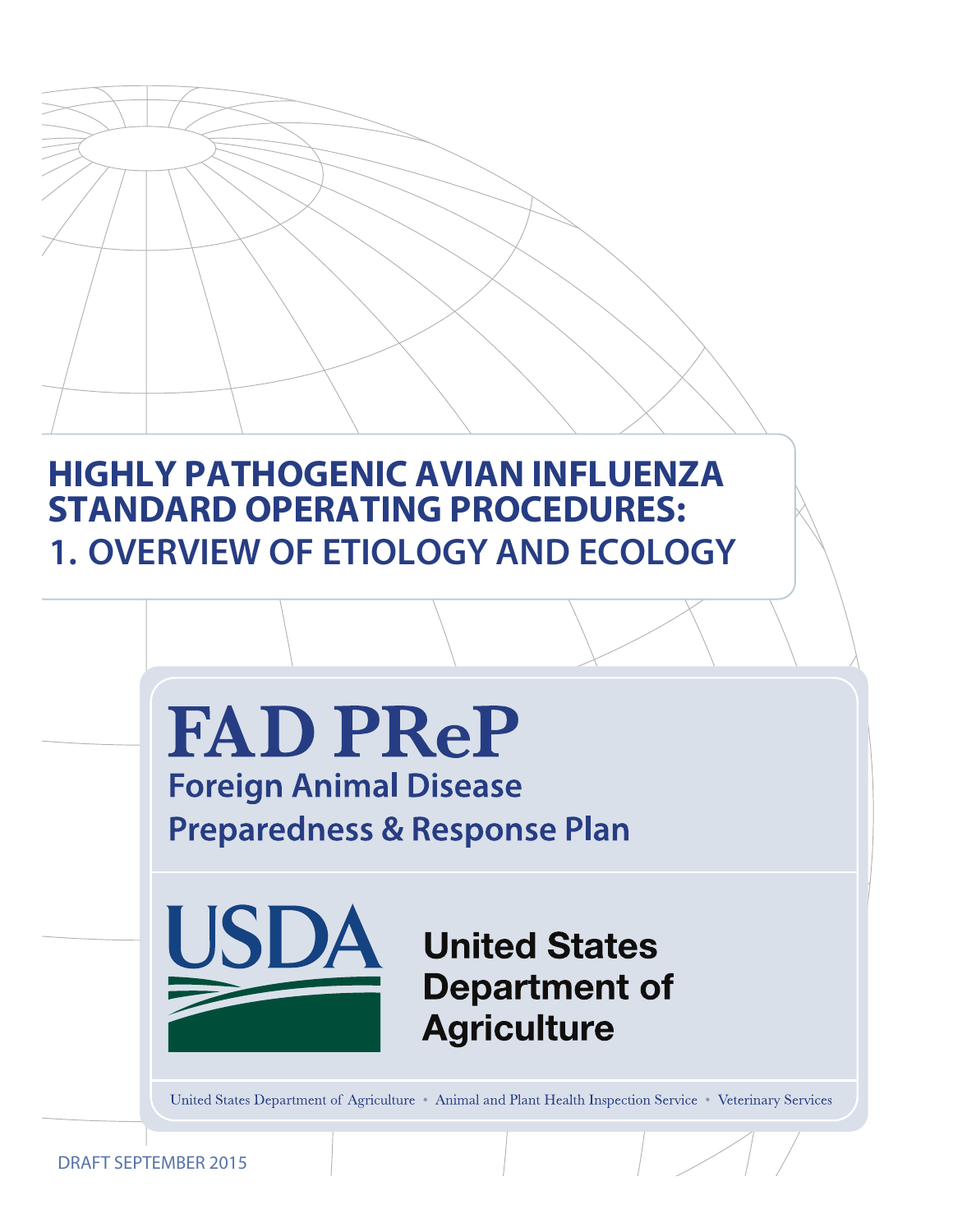# **HIGHLY PATHOGENIC AVIAN INFLUENZA STANDARD OPERATING PROCEDURES: 1. OVERVIEW OF ETIOLOGY AND ECOLOGY**

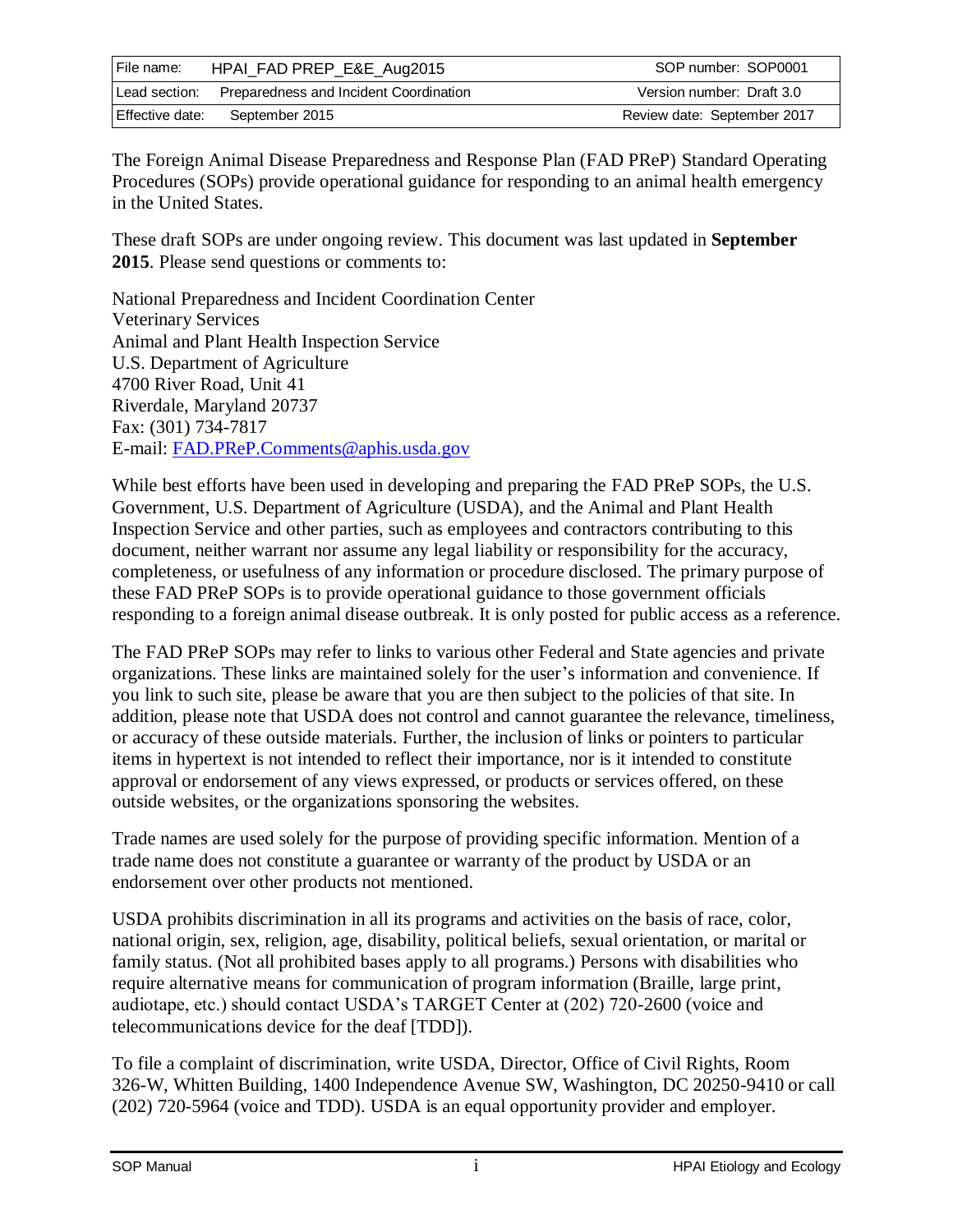| File name:      | HPAI_FAD PREP_E&E_Aug2015              | SOP number: SOP0001         |
|-----------------|----------------------------------------|-----------------------------|
| Lead section:   | Preparedness and Incident Coordination | Version number: Draft 3.0   |
| Effective date: | September 2015                         | Review date: September 2017 |

The Foreign Animal Disease Preparedness and Response Plan (FAD PReP) Standard Operating Procedures (SOPs) provide operational guidance for responding to an animal health emergency in the United States.

These draft SOPs are under ongoing review. This document was last updated in **September 2015**. Please send questions or comments to:

National Preparedness and Incident Coordination Center Veterinary Services Animal and Plant Health Inspection Service U.S. Department of Agriculture 4700 River Road, Unit 41 Riverdale, Maryland 20737 Fax: (301) 734-7817 E-mail: [FAD.PReP.Comments@aphis.usda.gov](mailto:FAD.PReP.Comments@aphis.usda.gov)

While best efforts have been used in developing and preparing the FAD PReP SOPs, the U.S. Government, U.S. Department of Agriculture (USDA), and the Animal and Plant Health Inspection Service and other parties, such as employees and contractors contributing to this document, neither warrant nor assume any legal liability or responsibility for the accuracy, completeness, or usefulness of any information or procedure disclosed. The primary purpose of these FAD PReP SOPs is to provide operational guidance to those government officials responding to a foreign animal disease outbreak. It is only posted for public access as a reference.

The FAD PReP SOPs may refer to links to various other Federal and State agencies and private organizations. These links are maintained solely for the user's information and convenience. If you link to such site, please be aware that you are then subject to the policies of that site. In addition, please note that USDA does not control and cannot guarantee the relevance, timeliness, or accuracy of these outside materials. Further, the inclusion of links or pointers to particular items in hypertext is not intended to reflect their importance, nor is it intended to constitute approval or endorsement of any views expressed, or products or services offered, on these outside websites, or the organizations sponsoring the websites.

Trade names are used solely for the purpose of providing specific information. Mention of a trade name does not constitute a guarantee or warranty of the product by USDA or an endorsement over other products not mentioned.

USDA prohibits discrimination in all its programs and activities on the basis of race, color, national origin, sex, religion, age, disability, political beliefs, sexual orientation, or marital or family status. (Not all prohibited bases apply to all programs.) Persons with disabilities who require alternative means for communication of program information (Braille, large print, audiotape, etc.) should contact USDA's TARGET Center at (202) 720-2600 (voice and telecommunications device for the deaf [TDD]).

To file a complaint of discrimination, write USDA, Director, Office of Civil Rights, Room 326-W, Whitten Building, 1400 Independence Avenue SW, Washington, DC 20250-9410 or call (202) 720-5964 (voice and TDD). USDA is an equal opportunity provider and employer.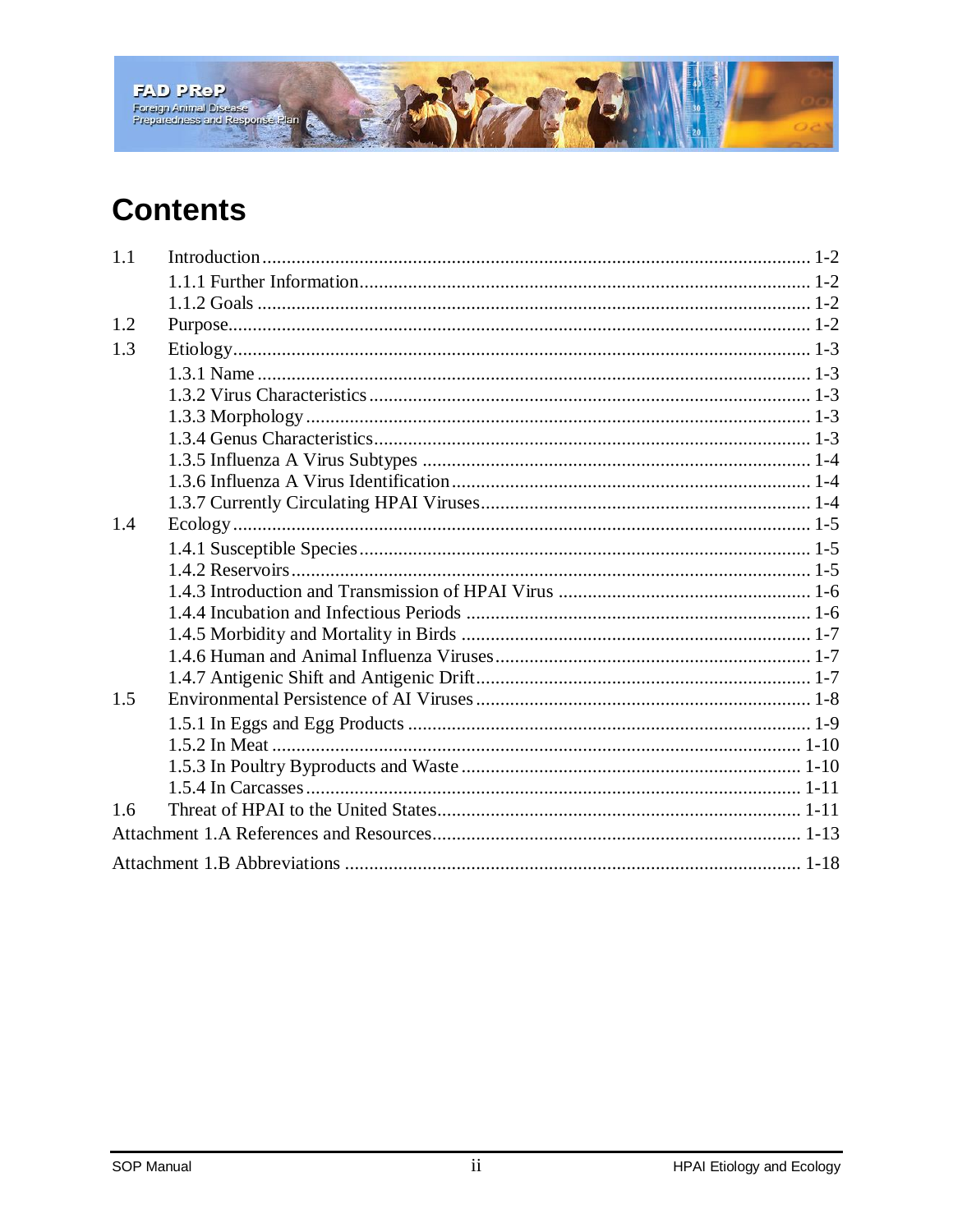

# **Contents**

| 1.1 |  |
|-----|--|
|     |  |
|     |  |
| 1.2 |  |
| 1.3 |  |
|     |  |
|     |  |
|     |  |
|     |  |
|     |  |
|     |  |
|     |  |
| 1.4 |  |
|     |  |
|     |  |
|     |  |
|     |  |
|     |  |
|     |  |
|     |  |
| 1.5 |  |
|     |  |
|     |  |
|     |  |
|     |  |
| 1.6 |  |
|     |  |
|     |  |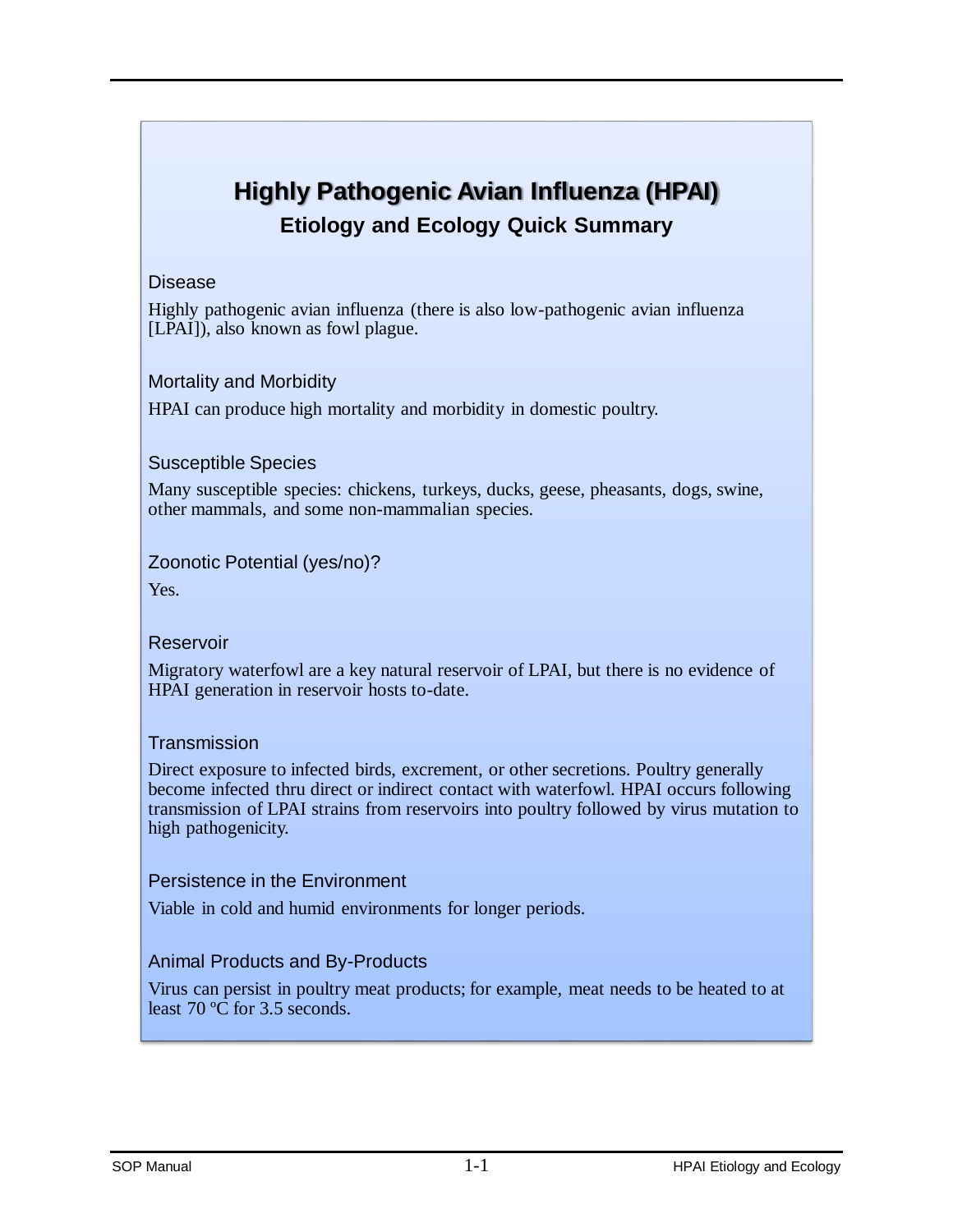# **Highly Pathogenic Avian Influenza (HPAI) Etiology and Ecology Quick Summary**

#### Disease

Highly pathogenic avian influenza (there is also low-pathogenic avian influenza [LPAI]), also known as fowl plague.

### Mortality and Morbidity

HPAI can produce high mortality and morbidity in domestic poultry.

### Susceptible Species

Many susceptible species: chickens, turkeys, ducks, geese, pheasants, dogs, swine, other mammals, and some non-mammalian species.

### Zoonotic Potential (yes/no)?

Yes.

### **Reservoir**

Migratory waterfowl are a key natural reservoir of LPAI, but there is no evidence of HPAI generation in reservoir hosts to-date.

### **Transmission**

Direct exposure to infected birds, excrement, or other secretions. Poultry generally become infected thru direct or indirect contact with waterfowl. HPAI occurs following transmission of LPAI strains from reservoirs into poultry followed by virus mutation to high pathogenicity.

### Persistence in the Environment

Viable in cold and humid environments for longer periods.

### Animal Products and By-Products

Virus can persist in poultry meat products; for example, meat needs to be heated to at least 70 ºC for 3.5 seconds.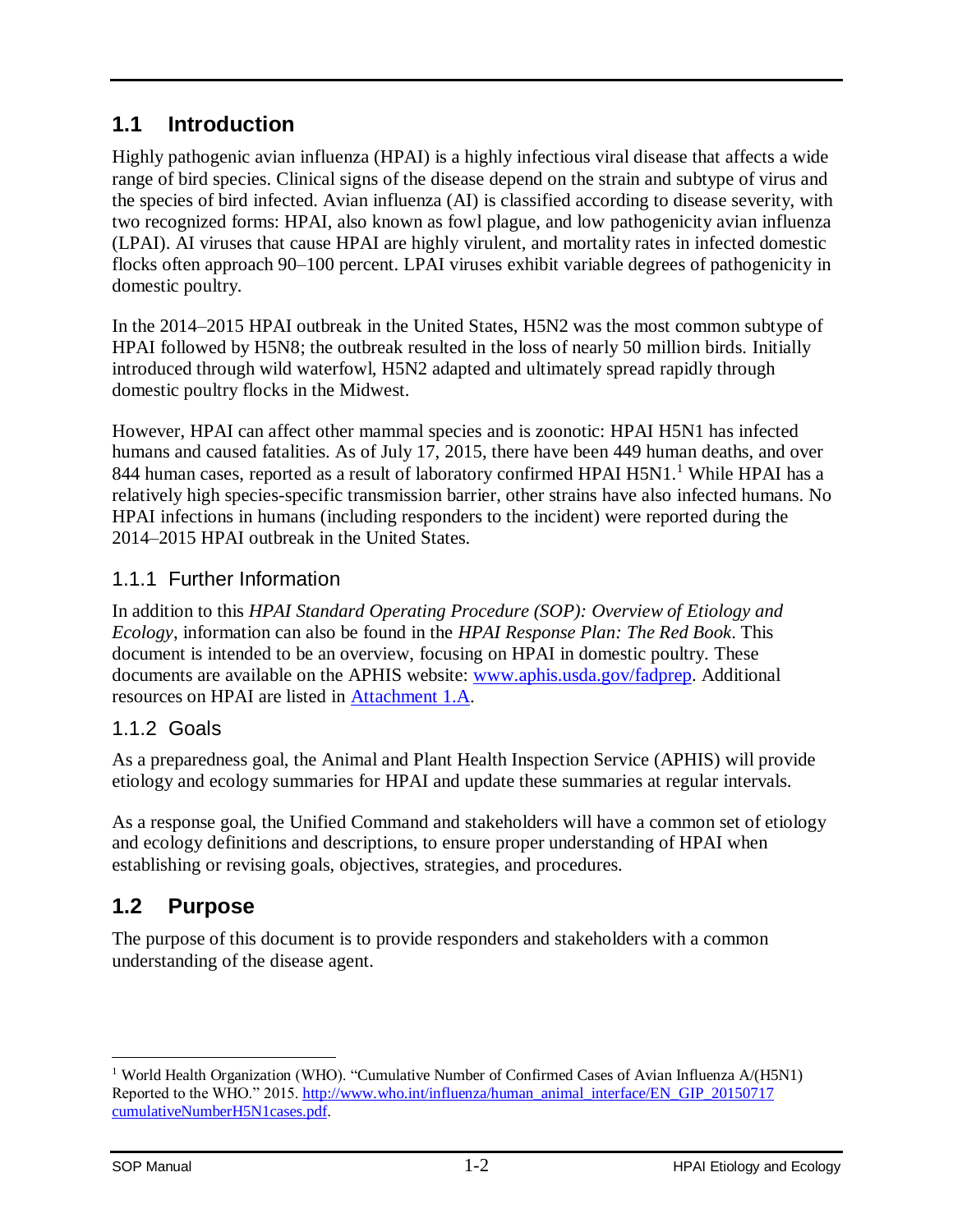## <span id="page-4-0"></span>**1.1 Introduction**

Highly pathogenic avian influenza (HPAI) is a highly infectious viral disease that affects a wide range of bird species. Clinical signs of the disease depend on the strain and subtype of virus and the species of bird infected. Avian influenza (AI) is classified according to disease severity, with two recognized forms: HPAI, also known as fowl plague, and low pathogenicity avian influenza (LPAI). AI viruses that cause HPAI are highly virulent, and mortality rates in infected domestic flocks often approach 90–100 percent. LPAI viruses exhibit variable degrees of pathogenicity in domestic poultry.

In the 2014–2015 HPAI outbreak in the United States, H5N2 was the most common subtype of HPAI followed by H5N8; the outbreak resulted in the loss of nearly 50 million birds. Initially introduced through wild waterfowl, H5N2 adapted and ultimately spread rapidly through domestic poultry flocks in the Midwest.

However, HPAI can affect other mammal species and is zoonotic: HPAI H5N1 has infected humans and caused fatalities. As of July 17, 2015, there have been 449 human deaths, and over 844 human cases, reported as a result of laboratory confirmed HPAI H5N1.<sup>1</sup> While HPAI has a relatively high species-specific transmission barrier, other strains have also infected humans. No HPAI infections in humans (including responders to the incident) were reported during the 2014–2015 HPAI outbreak in the United States.

### <span id="page-4-1"></span>1.1.1 Further Information

In addition to this *HPAI Standard Operating Procedure (SOP): Overview of Etiology and Ecology*, information can also be found in the *HPAI Response Plan: The Red Book*. This document is intended to be an overview, focusing on HPAI in domestic poultry. These documents are available on the APHIS website: [www.aphis.usda.gov/fadprep.](http://www.aphis.usda.gov/fadprep) Additional resources on HPAI are listed in [Attachment 1.A.](#page-15-0)

## <span id="page-4-2"></span>1.1.2 Goals

As a preparedness goal, the Animal and Plant Health Inspection Service (APHIS) will provide etiology and ecology summaries for HPAI and update these summaries at regular intervals.

As a response goal, the Unified Command and stakeholders will have a common set of etiology and ecology definitions and descriptions, to ensure proper understanding of HPAI when establishing or revising goals, objectives, strategies, and procedures.

## <span id="page-4-3"></span>**1.2 Purpose**

The purpose of this document is to provide responders and stakeholders with a common understanding of the disease agent.

 $\overline{a}$ <sup>1</sup> World Health Organization (WHO). "Cumulative Number of Confirmed Cases of Avian Influenza A/(H5N1) Reported to the WHO." 2015[. http://www.who.int/influenza/human\\_animal\\_interface/EN\\_GIP\\_20150717](http://www.who.int/influenza/human_animal_interface/EN_GIP_20150717cumulativeNumberH5N1cases.pdf)  [cumulativeNumberH5N1cases.pdf.](http://www.who.int/influenza/human_animal_interface/EN_GIP_20150717cumulativeNumberH5N1cases.pdf)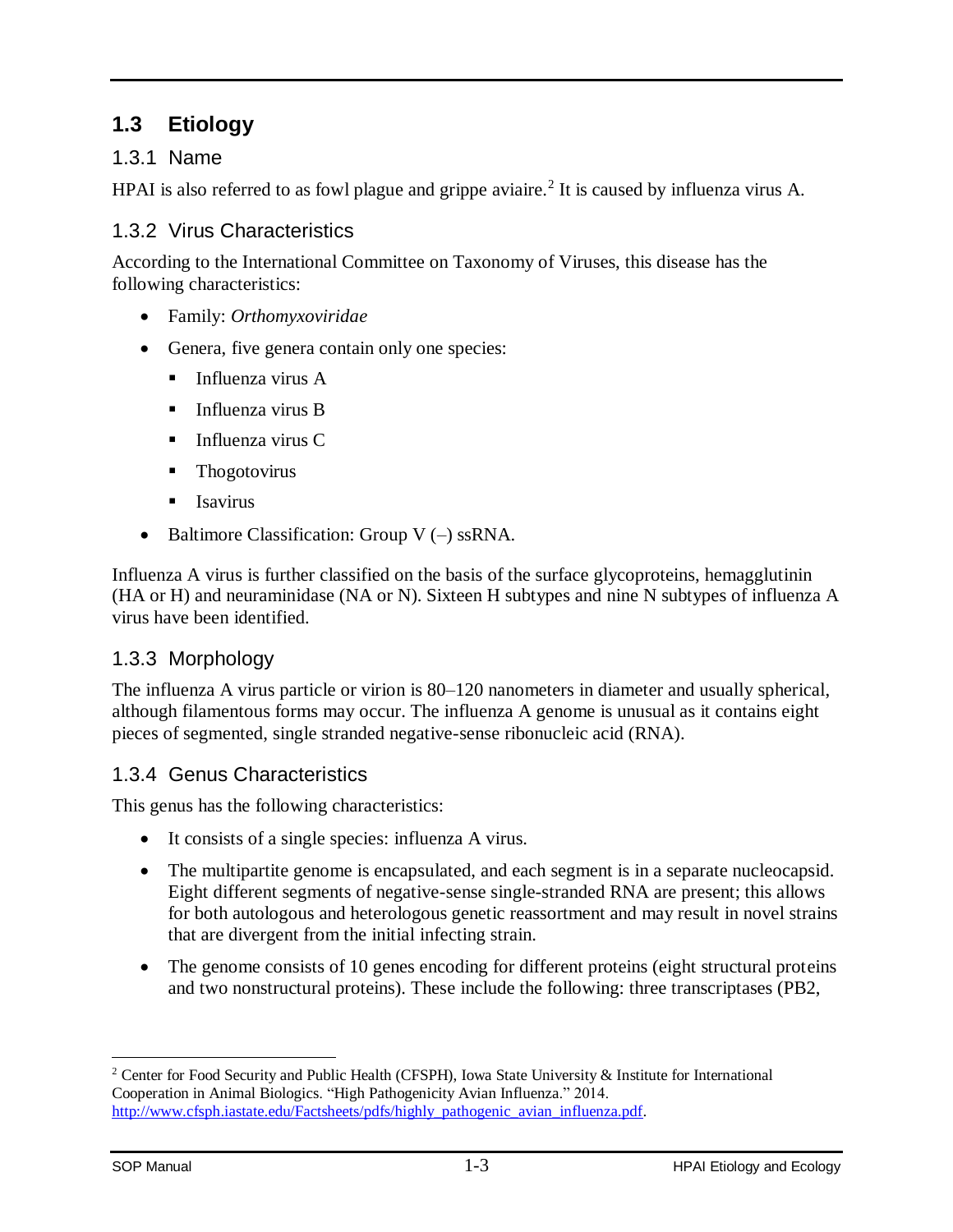## <span id="page-5-0"></span>**1.3 Etiology**

### <span id="page-5-1"></span>1.3.1 Name

HPAI is also referred to as fowl plague and grippe aviaire.<sup>2</sup> It is caused by influenza virus A.

### <span id="page-5-2"></span>1.3.2 Virus Characteristics

According to the International Committee on Taxonomy of Viruses, this disease has the following characteristics:

- Family: *Orthomyxoviridae*
- Genera, five genera contain only one species:
	- $\blacksquare$  Influenza virus A
	- $\blacksquare$  Influenza virus B
	- $\blacksquare$  Influenza virus C
	- Thogotovirus
	- $\blacksquare$  Isavirus
- Baltimore Classification: Group  $V(-)$  ssRNA.

Influenza A virus is further classified on the basis of the surface glycoproteins, hemagglutinin (HA or H) and neuraminidase (NA or N). Sixteen H subtypes and nine N subtypes of influenza A virus have been identified.

### <span id="page-5-3"></span>1.3.3 Morphology

The influenza A virus particle or virion is 80–120 nanometers in diameter and usually spherical, although filamentous forms may occur. The influenza A genome is unusual as it contains eight pieces of segmented, single stranded negative-sense ribonucleic acid (RNA).

### <span id="page-5-4"></span>1.3.4 Genus Characteristics

This genus has the following characteristics:

- It consists of a single species: influenza A virus.
- The multipartite genome is encapsulated, and each segment is in a separate nucleocapsid. Eight different segments of negative-sense single-stranded RNA are present; this allows for both autologous and heterologous genetic reassortment and may result in novel strains that are divergent from the initial infecting strain.
- The genome consists of 10 genes encoding for different proteins (eight structural proteins and two nonstructural proteins). These include the following: three transcriptases (PB2,

<sup>2</sup> Center for Food Security and Public Health (CFSPH), Iowa State University & Institute for International Cooperation in Animal Biologics. "High Pathogenicity Avian Influenza." 2014. [http://www.cfsph.iastate.edu/Factsheets/pdfs/highly\\_pathogenic\\_avian\\_influenza.pdf.](http://www.cfsph.iastate.edu/Factsheets/pdfs/highly_pathogenic_avian_influenza.pdf)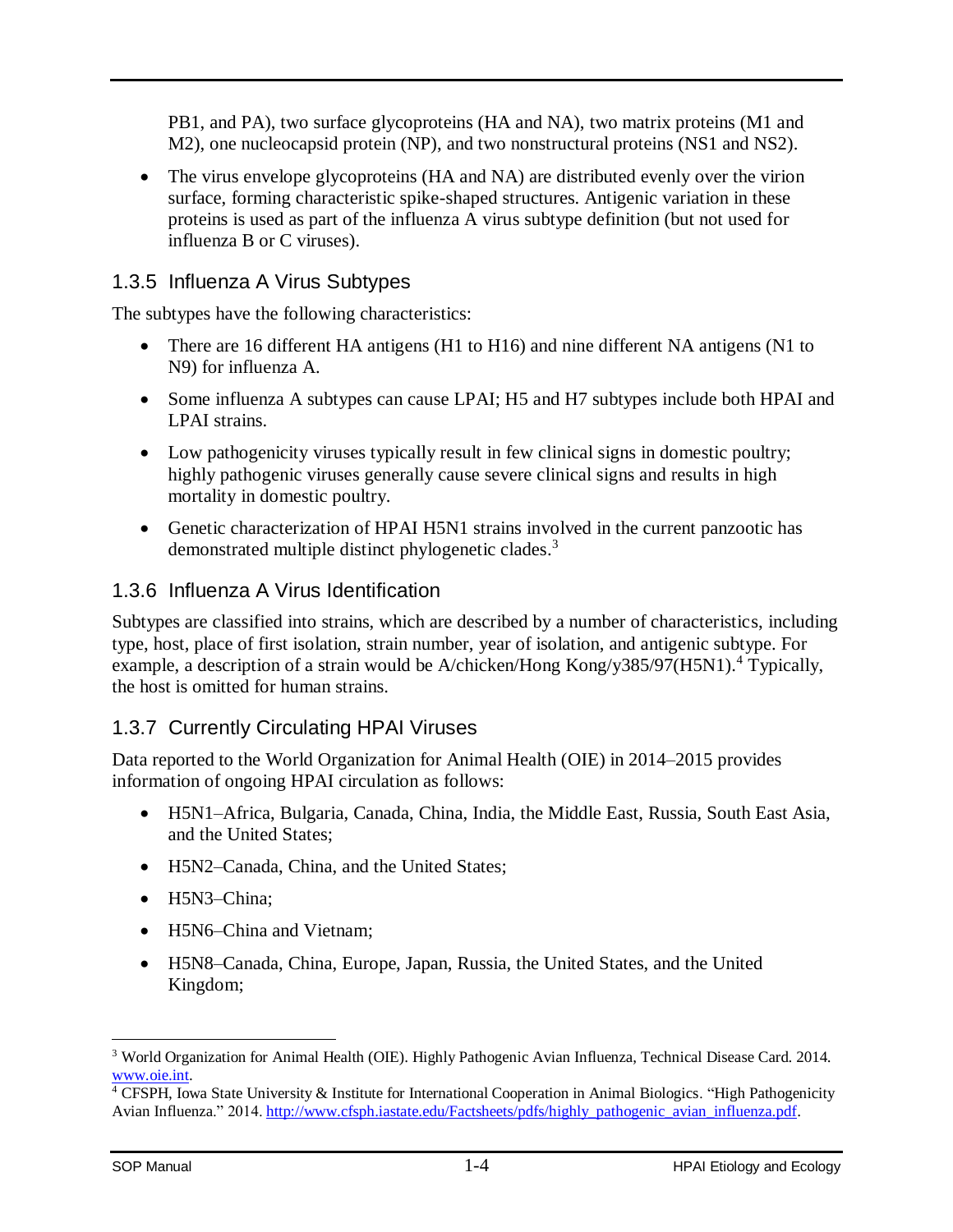PB1, and PA), two surface glycoproteins (HA and NA), two matrix proteins (M1 and M2), one nucleocapsid protein (NP), and two nonstructural proteins (NS1 and NS2).

• The virus envelope glycoproteins (HA and NA) are distributed evenly over the virion surface, forming characteristic spike-shaped structures. Antigenic variation in these proteins is used as part of the influenza A virus subtype definition (but not used for influenza B or C viruses).

### <span id="page-6-0"></span>1.3.5 Influenza A Virus Subtypes

The subtypes have the following characteristics:

- There are 16 different HA antigens (H1 to H16) and nine different NA antigens (N1 to N9) for influenza A.
- Some influenza A subtypes can cause LPAI; H5 and H7 subtypes include both HPAI and LPAI strains.
- Low pathogenicity viruses typically result in few clinical signs in domestic poultry; highly pathogenic viruses generally cause severe clinical signs and results in high mortality in domestic poultry.
- Genetic characterization of HPAI H5N1 strains involved in the current panzootic has demonstrated multiple distinct phylogenetic clades.<sup>3</sup>

### <span id="page-6-1"></span>1.3.6 Influenza A Virus Identification

Subtypes are classified into strains, which are described by a number of characteristics, including type, host, place of first isolation, strain number, year of isolation, and antigenic subtype. For example, a description of a strain would be A/chicken/Hong Kong/y385/97(H5N1).<sup>4</sup> Typically, the host is omitted for human strains.

### <span id="page-6-2"></span>1.3.7 Currently Circulating HPAI Viruses

Data reported to the World Organization for Animal Health (OIE) in 2014–2015 provides information of ongoing HPAI circulation as follows:

- H5N1–Africa, Bulgaria, Canada, China, India, the Middle East, Russia, South East Asia, and the United States;
- H5N2–Canada, China, and the United States;
- H5N3–China;
- H5N6–China and Vietnam;
- H5N8–Canada, China, Europe, Japan, Russia, the United States, and the United Kingdom;

 $\overline{a}$ <sup>3</sup> World Organization for Animal Health (OIE). Highly Pathogenic Avian Influenza, Technical Disease Card. 2014. [www.oie.int.](http://www.oie.int/)

<sup>&</sup>lt;sup>4</sup> CFSPH, Iowa State University & Institute for International Cooperation in Animal Biologics. "High Pathogenicity Avian Influenza." 2014. [http://www.cfsph.iastate.edu/Factsheets/pdfs/highly\\_pathogenic\\_avian\\_influenza.pdf.](http://www.cfsph.iastate.edu/Factsheets/pdfs/highly_pathogenic_avian_influenza.pdf)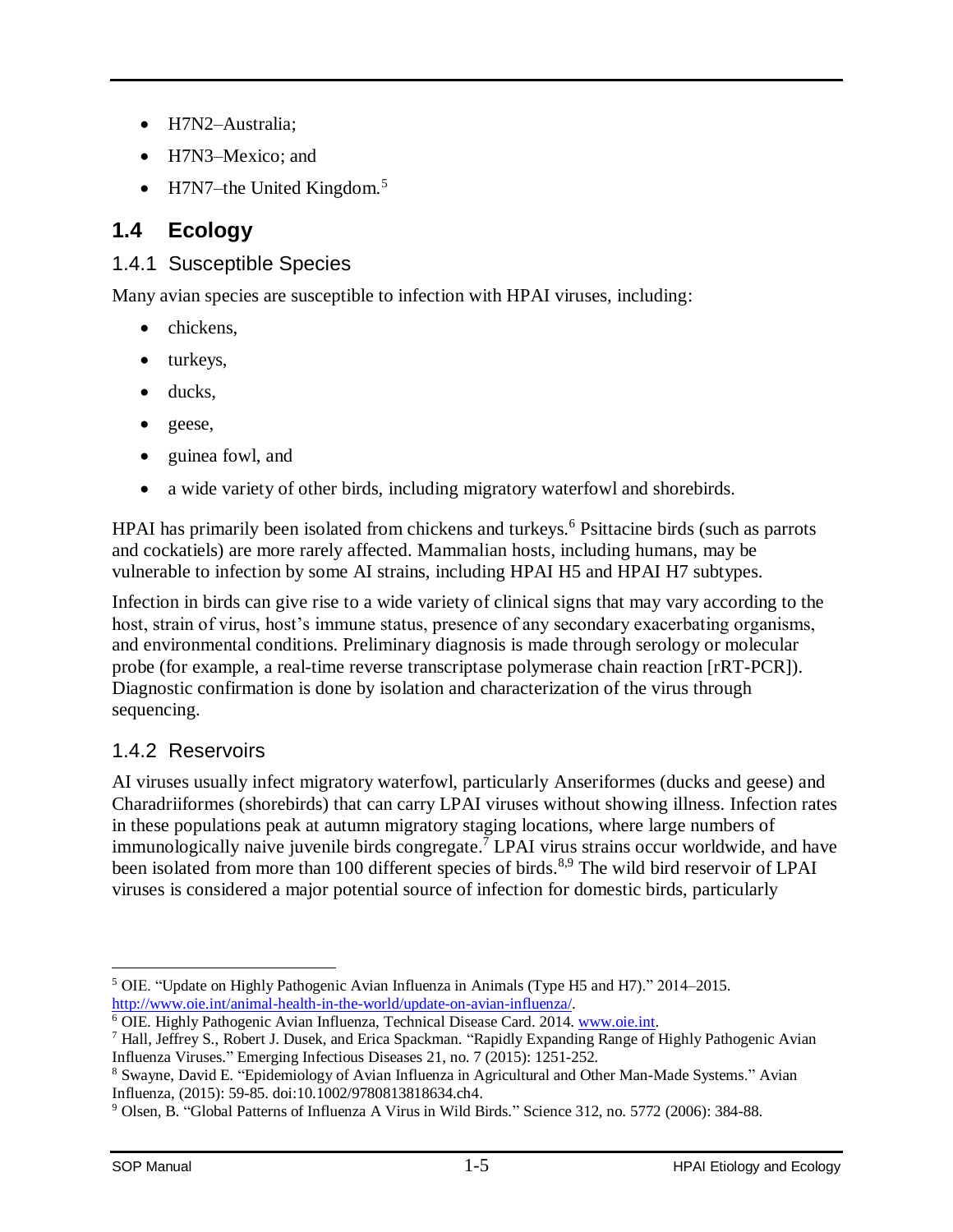- H7N2–Australia;
- H7N3–Mexico; and
- $\bullet$  H7N7–the United Kingdom.<sup>5</sup>

## <span id="page-7-0"></span>**1.4 Ecology**

## <span id="page-7-1"></span>1.4.1 Susceptible Species

Many avian species are susceptible to infection with HPAI viruses, including:

- chickens.
- turkeys,
- ducks.
- geese,
- guinea fowl, and
- a wide variety of other birds, including migratory waterfowl and shorebirds.

HPAI has primarily been isolated from chickens and turkeys.<sup>6</sup> Psittacine birds (such as parrots and cockatiels) are more rarely affected. Mammalian hosts, including humans, may be vulnerable to infection by some AI strains, including HPAI H5 and HPAI H7 subtypes.

Infection in birds can give rise to a wide variety of clinical signs that may vary according to the host, strain of virus, host's immune status, presence of any secondary exacerbating organisms, and environmental conditions. Preliminary diagnosis is made through serology or molecular probe (for example, a real-time reverse transcriptase polymerase chain reaction [rRT-PCR]). Diagnostic confirmation is done by isolation and characterization of the virus through sequencing.

## <span id="page-7-2"></span>1.4.2 Reservoirs

AI viruses usually infect migratory waterfowl, particularly Anseriformes (ducks and geese) and Charadriiformes (shorebirds) that can carry LPAI viruses without showing illness. Infection rates in these populations peak at autumn migratory staging locations, where large numbers of immunologically naive juvenile birds congregate. <sup>7</sup> LPAI virus strains occur worldwide, and have been isolated from more than 100 different species of birds.<sup>8,9</sup> The wild bird reservoir of LPAI viruses is considered a major potential source of infection for domestic birds, particularly

 $\overline{a}$ <sup>5</sup> OIE. "Update on Highly Pathogenic Avian Influenza in Animals (Type H5 and H7)." 2014–2015. [http://www.oie.int/animal-health-in-the-world/update-on-avian-influenza/.](http://www.oie.int/animal-health-in-the-world/update-on-avian-influenza/)

<sup>6</sup> OIE. Highly Pathogenic Avian Influenza, Technical Disease Card. 2014[. www.oie.int.](http://www.oie.int/)

<sup>7</sup> Hall, Jeffrey S., Robert J. Dusek, and Erica Spackman. "Rapidly Expanding Range of Highly Pathogenic Avian Influenza Viruses." Emerging Infectious Diseases 21, no. 7 (2015): 1251-252.

<sup>8</sup> Swayne, David E. "Epidemiology of Avian Influenza in Agricultural and Other Man-Made Systems." Avian Influenza, (2015): 59-85. doi:10.1002/9780813818634.ch4.

<sup>9</sup> Olsen, B. "Global Patterns of Influenza A Virus in Wild Birds." Science 312, no. 5772 (2006): 384-88.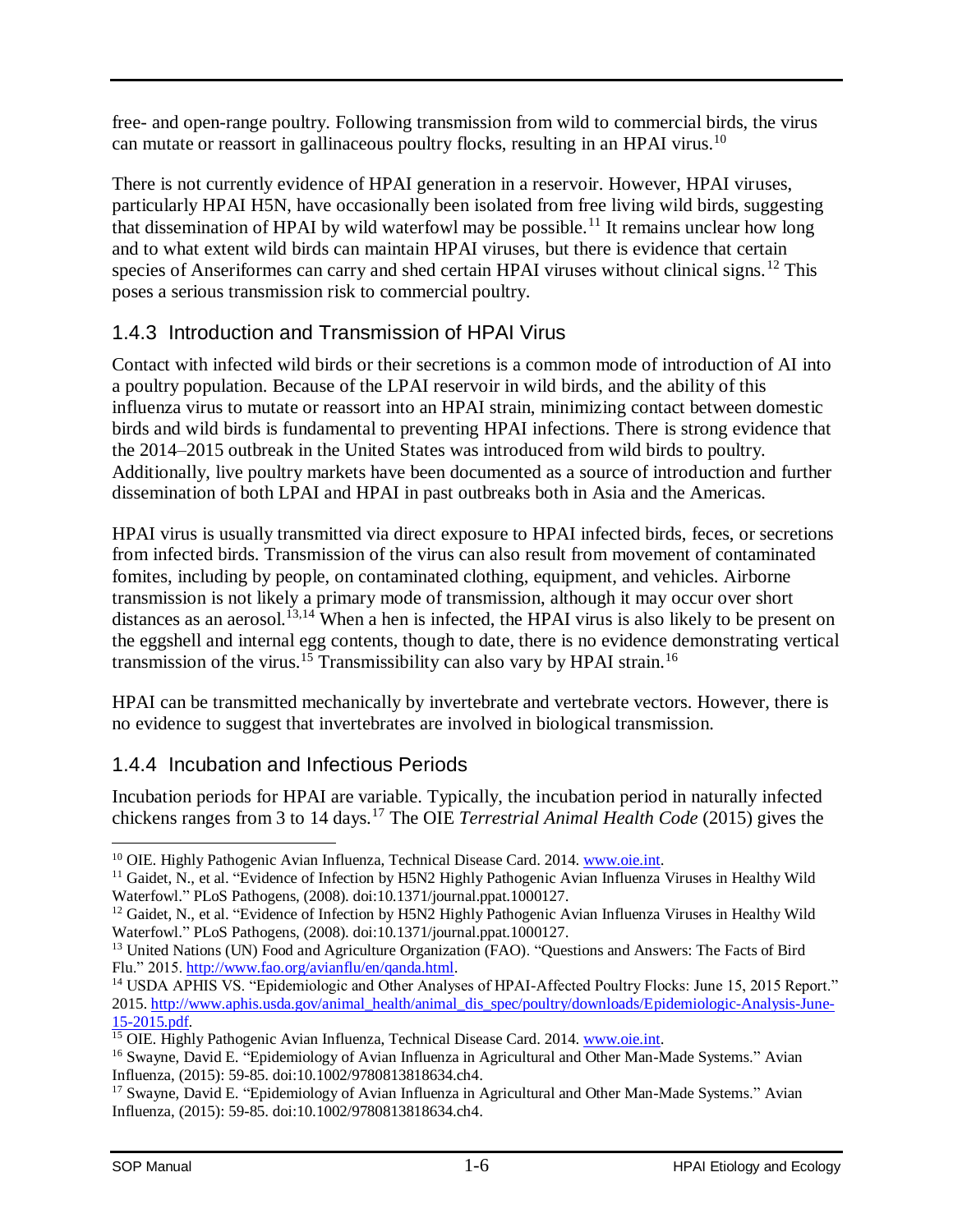free- and open-range poultry. Following transmission from wild to commercial birds, the virus can mutate or reassort in gallinaceous poultry flocks, resulting in an HPAI virus.<sup>10</sup>

There is not currently evidence of HPAI generation in a reservoir. However, HPAI viruses, particularly HPAI H5N, have occasionally been isolated from free living wild birds, suggesting that dissemination of HPAI by wild waterfowl may be possible.<sup>11</sup> It remains unclear how long and to what extent wild birds can maintain HPAI viruses, but there is evidence that certain species of Anseriformes can carry and shed certain HPAI viruses without clinical signs.<sup>12</sup> This poses a serious transmission risk to commercial poultry.

## <span id="page-8-0"></span>1.4.3 Introduction and Transmission of HPAI Virus

Contact with infected wild birds or their secretions is a common mode of introduction of AI into a poultry population. Because of the LPAI reservoir in wild birds, and the ability of this influenza virus to mutate or reassort into an HPAI strain, minimizing contact between domestic birds and wild birds is fundamental to preventing HPAI infections. There is strong evidence that the 2014–2015 outbreak in the United States was introduced from wild birds to poultry. Additionally, live poultry markets have been documented as a source of introduction and further dissemination of both LPAI and HPAI in past outbreaks both in Asia and the Americas.

HPAI virus is usually transmitted via direct exposure to HPAI infected birds, feces, or secretions from infected birds. Transmission of the virus can also result from movement of contaminated fomites, including by people, on contaminated clothing, equipment, and vehicles. Airborne transmission is not likely a primary mode of transmission, although it may occur over short distances as an aerosol.<sup>13,14</sup> When a hen is infected, the HPAI virus is also likely to be present on the eggshell and internal egg contents, though to date, there is no evidence demonstrating vertical transmission of the virus.<sup>15</sup> Transmissibility can also vary by HPAI strain.<sup>16</sup>

HPAI can be transmitted mechanically by invertebrate and vertebrate vectors. However, there is no evidence to suggest that invertebrates are involved in biological transmission.

## <span id="page-8-1"></span>1.4.4 Incubation and Infectious Periods

Incubation periods for HPAI are variable. Typically, the incubation period in naturally infected chickens ranges from 3 to 14 days.<sup>17</sup> The OIE *Terrestrial Animal Health Code* (2015) gives the

 $\overline{a}$ <sup>10</sup> OIE. Highly Pathogenic Avian Influenza, Technical Disease Card. 2014[. www.oie.int.](http://www.oie.int/)

<sup>&</sup>lt;sup>11</sup> Gaidet, N., et al. "Evidence of Infection by H5N2 Highly Pathogenic Avian Influenza Viruses in Healthy Wild Waterfowl." PLoS Pathogens, (2008). doi:10.1371/journal.ppat.1000127.

<sup>&</sup>lt;sup>12</sup> Gaidet, N., et al. "Evidence of Infection by H5N2 Highly Pathogenic Avian Influenza Viruses in Healthy Wild Waterfowl." PLoS Pathogens, (2008). doi:10.1371/journal.ppat.1000127.

<sup>&</sup>lt;sup>13</sup> United Nations (UN) Food and Agriculture Organization (FAO). "Questions and Answers: The Facts of Bird Flu." 2015. [http://www.fao.org/avianflu/en/qanda.html.](http://www.fao.org/avianflu/en/qanda.html)

<sup>&</sup>lt;sup>14</sup> USDA APHIS VS. "Epidemiologic and Other Analyses of HPAI-Affected Poultry Flocks: June 15, 2015 Report." 2015. [http://www.aphis.usda.gov/animal\\_health/animal\\_dis\\_spec/poultry/downloads/Epidemiologic-Analysis-June-](http://www.aphis.usda.gov/animal_health/animal_dis_spec/poultry/downloads/Epidemiologic-Analysis-June-15-2015.pdf)[15-2015.pdf.](http://www.aphis.usda.gov/animal_health/animal_dis_spec/poultry/downloads/Epidemiologic-Analysis-June-15-2015.pdf)

<sup>&</sup>lt;sup>15</sup> OIE. Highly Pathogenic Avian Influenza, Technical Disease Card. 2014[. www.oie.int.](http://www.oie.int/)

<sup>&</sup>lt;sup>16</sup> Swayne, David E. "Epidemiology of Avian Influenza in Agricultural and Other Man-Made Systems." Avian Influenza, (2015): 59-85. doi:10.1002/9780813818634.ch4.

<sup>&</sup>lt;sup>17</sup> Swayne, David E. "Epidemiology of Avian Influenza in Agricultural and Other Man-Made Systems." Avian Influenza, (2015): 59-85. doi:10.1002/9780813818634.ch4.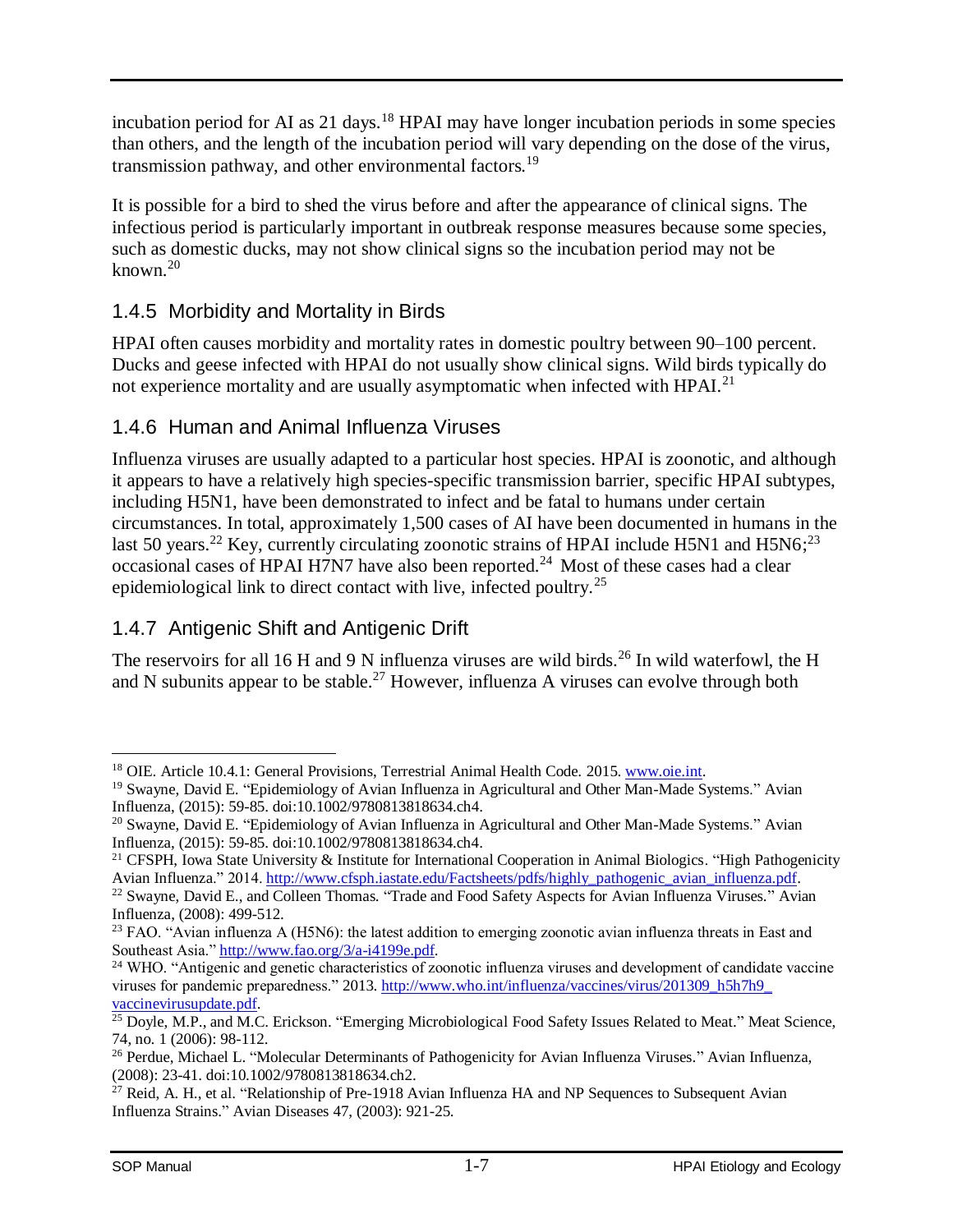incubation period for AI as 21 days.<sup>18</sup> HPAI may have longer incubation periods in some species than others, and the length of the incubation period will vary depending on the dose of the virus, transmission pathway, and other environmental factors.<sup>19</sup>

It is possible for a bird to shed the virus before and after the appearance of clinical signs. The infectious period is particularly important in outbreak response measures because some species, such as domestic ducks, may not show clinical signs so the incubation period may not be known.<sup>20</sup>

## <span id="page-9-0"></span>1.4.5 Morbidity and Mortality in Birds

HPAI often causes morbidity and mortality rates in domestic poultry between 90–100 percent. Ducks and geese infected with HPAI do not usually show clinical signs. Wild birds typically do not experience mortality and are usually asymptomatic when infected with HPAI.<sup>21</sup>

## <span id="page-9-1"></span>1.4.6 Human and Animal Influenza Viruses

Influenza viruses are usually adapted to a particular host species. HPAI is zoonotic, and although it appears to have a relatively high species-specific transmission barrier, specific HPAI subtypes, including H5N1, have been demonstrated to infect and be fatal to humans under certain circumstances. In total, approximately 1,500 cases of AI have been documented in humans in the last 50 years.<sup>22</sup> Key, currently circulating zoonotic strains of HPAI include H5N1 and H5N6;<sup>23</sup> occasional cases of HPAI H7N7 have also been reported.<sup>24</sup> Most of these cases had a clear epidemiological link to direct contact with live, infected poultry.<sup>25</sup>

## <span id="page-9-2"></span>1.4.7 Antigenic Shift and Antigenic Drift

The reservoirs for all 16 H and 9 N influenza viruses are wild birds.<sup>26</sup> In wild waterfowl, the H and N subunits appear to be stable.<sup>27</sup> However, influenza A viruses can evolve through both

<sup>18</sup> OIE. Article 10.4.1: General Provisions, Terrestrial Animal Health Code*.* 2015[. www.oie.int.](http://www.oie.int/)

<sup>19</sup> Swayne, David E. "Epidemiology of Avian Influenza in Agricultural and Other Man-Made Systems." Avian Influenza, (2015): 59-85. doi:10.1002/9780813818634.ch4.

<sup>&</sup>lt;sup>20</sup> Swayne, David E. "Epidemiology of Avian Influenza in Agricultural and Other Man-Made Systems." Avian Influenza, (2015): 59-85. doi:10.1002/9780813818634.ch4.

<sup>&</sup>lt;sup>21</sup> CFSPH, Iowa State University & Institute for International Cooperation in Animal Biologics. "High Pathogenicity Avian Influenza." 2014. [http://www.cfsph.iastate.edu/Factsheets/pdfs/highly\\_pathogenic\\_avian\\_influenza.pdf.](http://www.cfsph.iastate.edu/Factsheets/pdfs/highly_pathogenic_avian_influenza.pdf)

<sup>&</sup>lt;sup>22</sup> Swayne, David E., and Colleen Thomas. "Trade and Food Safety Aspects for Avian Influenza Viruses." Avian Influenza, (2008): 499-512.

<sup>&</sup>lt;sup>23</sup> FAO. "Avian influenza A (H5N6): the latest addition to emerging zoonotic avian influenza threats in East and Southeast Asia." [http://www.fao.org/3/a-i4199e.pdf.](http://www.fao.org/3/a-i4199e.pdf)

<sup>&</sup>lt;sup>24</sup> WHO. "Antigenic and genetic characteristics of zoonotic influenza viruses and development of candidate vaccine viruses for pandemic preparedness." 2013. http://www.who.int/influenza/vaccines/virus/201309\_h5h7h9 [vaccinevirusupdate.pdf.](http://www.who.int/influenza/vaccines/virus/201309_h5h7h9_vaccinevirusupdate.pdf)

<sup>&</sup>lt;sup>25</sup> Doyle, M.P., and M.C. Erickson. "Emerging Microbiological Food Safety Issues Related to Meat." Meat Science, 74, no. 1 (2006): 98-112.

<sup>26</sup> Perdue, Michael L. "Molecular Determinants of Pathogenicity for Avian Influenza Viruses." Avian Influenza, (2008): 23-41. doi:10.1002/9780813818634.ch2.

 $27$  Reid, A. H., et al. "Relationship of Pre-1918 Avian Influenza HA and NP Sequences to Subsequent Avian Influenza Strains." Avian Diseases 47, (2003): 921-25.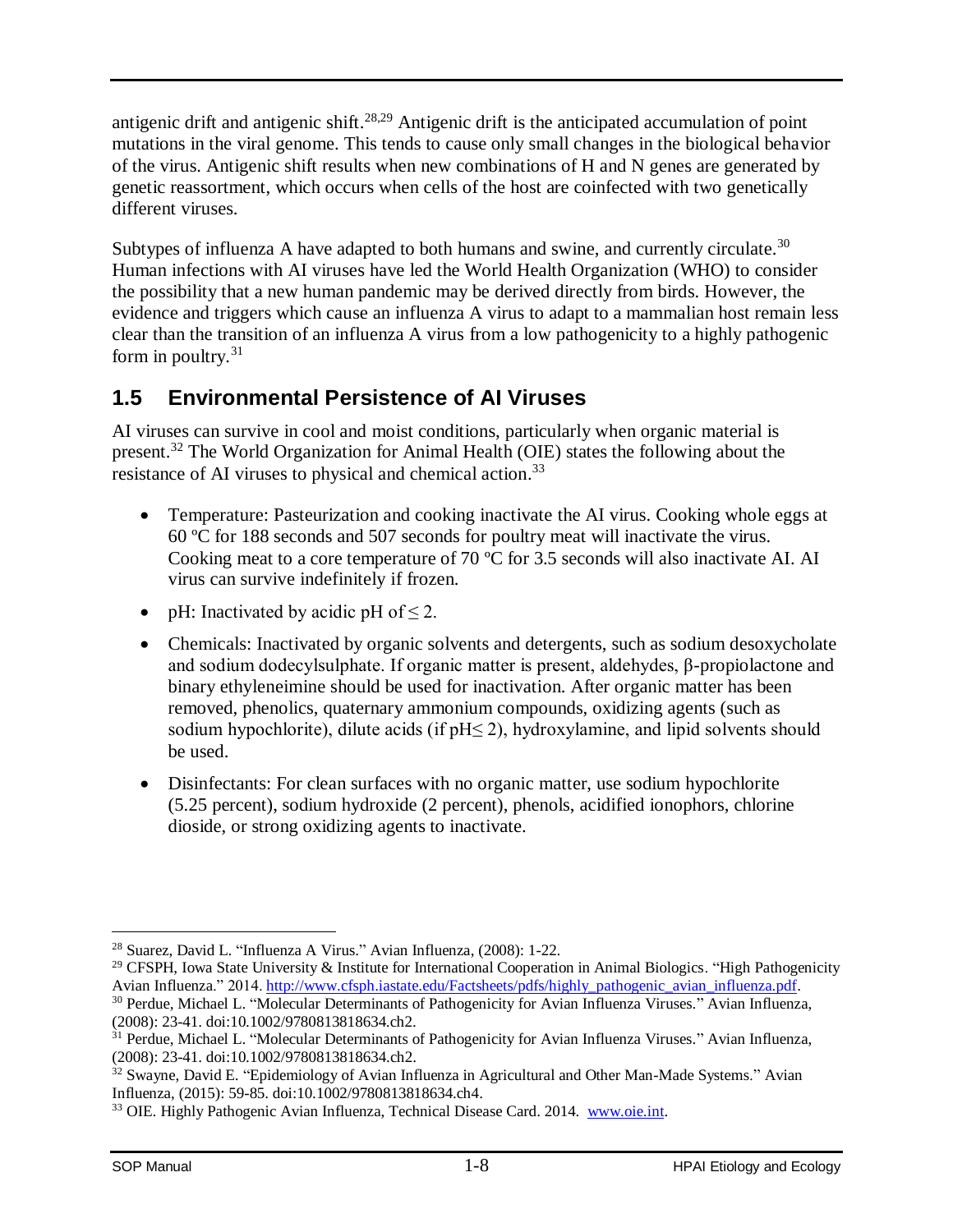antigenic drift and antigenic shift.<sup>28,29</sup> Antigenic drift is the anticipated accumulation of point mutations in the viral genome. This tends to cause only small changes in the biological behavior of the virus. Antigenic shift results when new combinations of H and N genes are generated by genetic reassortment, which occurs when cells of the host are coinfected with two genetically different viruses.

Subtypes of influenza A have adapted to both humans and swine, and currently circulate.<sup>30</sup> Human infections with AI viruses have led the World Health Organization (WHO) to consider the possibility that a new human pandemic may be derived directly from birds. However, the evidence and triggers which cause an influenza A virus to adapt to a mammalian host remain less clear than the transition of an influenza A virus from a low pathogenicity to a highly pathogenic form in poultry. $31$ 

## <span id="page-10-0"></span>**1.5 Environmental Persistence of AI Viruses**

AI viruses can survive in cool and moist conditions, particularly when organic material is present.<sup>32</sup> The World Organization for Animal Health (OIE) states the following about the resistance of AI viruses to physical and chemical action.<sup>33</sup>

- Temperature: Pasteurization and cooking inactivate the AI virus. Cooking whole eggs at 60 ºC for 188 seconds and 507 seconds for poultry meat will inactivate the virus. Cooking meat to a core temperature of 70 ºC for 3.5 seconds will also inactivate AI. AI virus can survive indefinitely if frozen.
- pH: Inactivated by acidic pH of  $\leq 2$ .
- Chemicals: Inactivated by organic solvents and detergents, such as sodium desoxycholate and sodium dodecylsulphate. If organic matter is present, aldehydes, β-propiolactone and binary ethyleneimine should be used for inactivation. After organic matter has been removed, phenolics, quaternary ammonium compounds, oxidizing agents (such as sodium hypochlorite), dilute acids (if  $pH \leq 2$ ), hydroxylamine, and lipid solvents should be used.
- Disinfectants: For clean surfaces with no organic matter, use sodium hypochlorite (5.25 percent), sodium hydroxide (2 percent), phenols, acidified ionophors, chlorine dioside, or strong oxidizing agents to inactivate.

 $\overline{a}$ <sup>28</sup> Suarez, David L. "Influenza A Virus." Avian Influenza, (2008): 1-22.

<sup>&</sup>lt;sup>29</sup> CFSPH, Iowa State University & Institute for International Cooperation in Animal Biologics. "High Pathogenicity Avian Influenza." 2014. [http://www.cfsph.iastate.edu/Factsheets/pdfs/highly\\_pathogenic\\_avian\\_influenza.pdf.](http://www.cfsph.iastate.edu/Factsheets/pdfs/highly_pathogenic_avian_influenza.pdf)

<sup>&</sup>lt;sup>30</sup> Perdue, Michael L. "Molecular Determinants of Pathogenicity for Avian Influenza Viruses." Avian Influenza, (2008): 23-41. doi:10.1002/9780813818634.ch2.

 $31$  Perdue, Michael L. "Molecular Determinants of Pathogenicity for Avian Influenza Viruses." Avian Influenza, (2008): 23-41. doi:10.1002/9780813818634.ch2.

<sup>&</sup>lt;sup>32</sup> Swayne, David E. "Epidemiology of Avian Influenza in Agricultural and Other Man-Made Systems." Avian Influenza, (2015): 59-85. doi:10.1002/9780813818634.ch4.

<sup>33</sup> OIE. Highly Pathogenic Avian Influenza, Technical Disease Card. 2014. [www.oie.int.](http://www.oie.int/)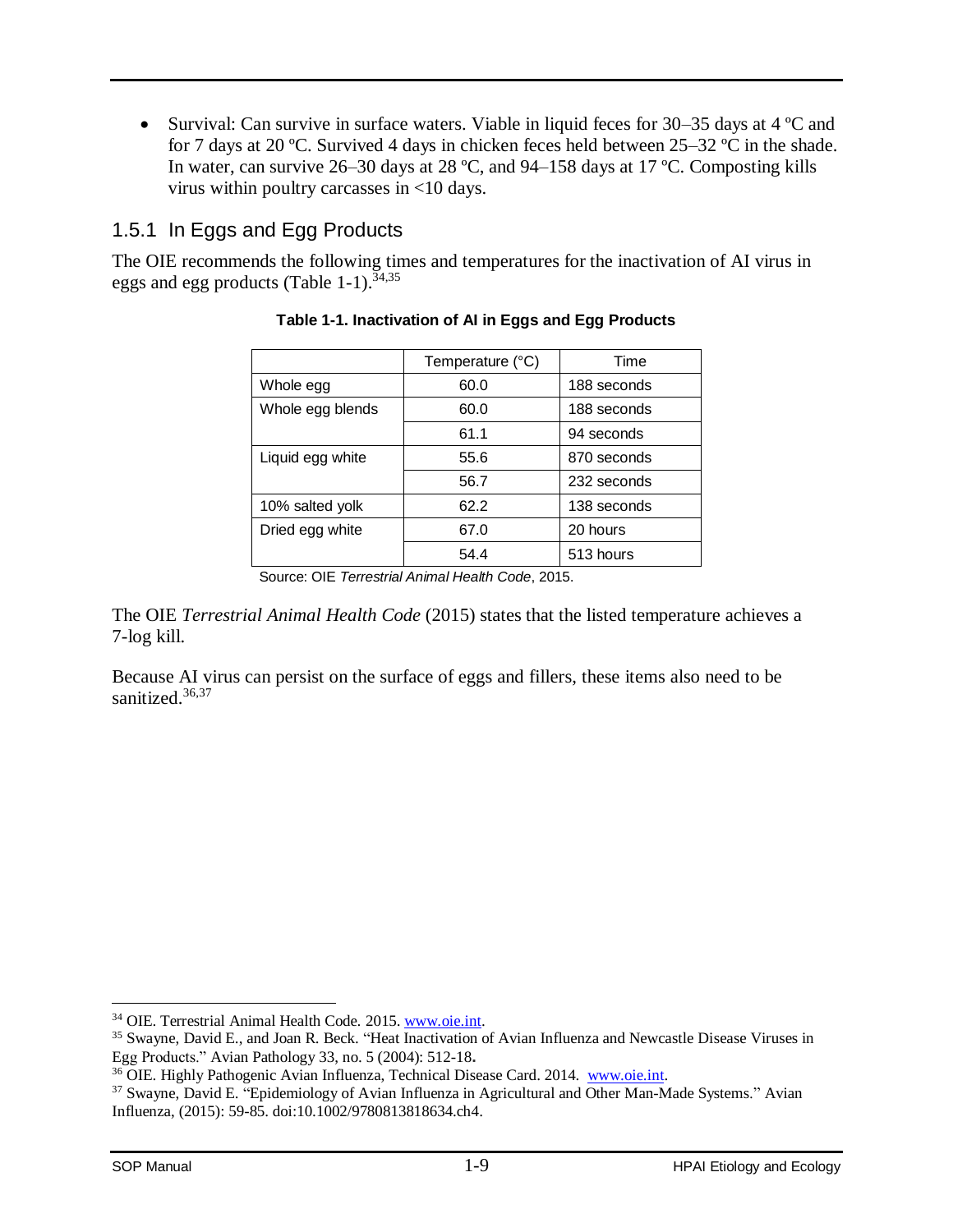Survival: Can survive in surface waters. Viable in liquid feces for  $30-35$  days at  $4^{\circ}$ C and for 7 days at 20 ºC. Survived 4 days in chicken feces held between 25–32 ºC in the shade. In water, can survive 26–30 days at 28 ºC, and 94–158 days at 17 ºC. Composting kills virus within poultry carcasses in <10 days.

## <span id="page-11-0"></span>1.5.1 In Eggs and Egg Products

<span id="page-11-1"></span>The OIE recommends the following times and temperatures for the inactivation of AI virus in eggs and egg products [\(Table 1-1\)](#page-11-1).<sup>34,35</sup>

|                  | Temperature (°C) | Time        |
|------------------|------------------|-------------|
| Whole egg        | 60.0             | 188 seconds |
| Whole egg blends | 60.0             | 188 seconds |
|                  | 61.1             | 94 seconds  |
| Liquid egg white | 55.6             | 870 seconds |
|                  | 56.7             | 232 seconds |
| 10% salted yolk  | 62.2             | 138 seconds |
| Dried egg white  | 67.0             | 20 hours    |
|                  | 54.4             | 513 hours   |

### **Table 1-1. Inactivation of AI in Eggs and Egg Products**

The OIE *Terrestrial Animal Health Code* (2015) states that the listed temperature achieves a 7-log kill.

Because AI virus can persist on the surface of eggs and fillers, these items also need to be sanitized.<sup>36,37</sup>

Source: OIE *Terrestrial Animal Health Code*, 2015.

<sup>34</sup> OIE. Terrestrial Animal Health Code*.* 2015[. www.oie.int.](http://www.oie.int/)

<sup>35</sup> Swayne, David E., and Joan R. Beck. "Heat Inactivation of Avian Influenza and Newcastle Disease Viruses in Egg Products." Avian Pathology 33, no. 5 (2004): 512-18**.**

<sup>36</sup> OIE. Highly Pathogenic Avian Influenza, Technical Disease Card. 2014. [www.oie.int.](http://www.oie.int/)

<sup>37</sup> Swayne, David E. "Epidemiology of Avian Influenza in Agricultural and Other Man-Made Systems." Avian Influenza, (2015): 59-85. doi:10.1002/9780813818634.ch4.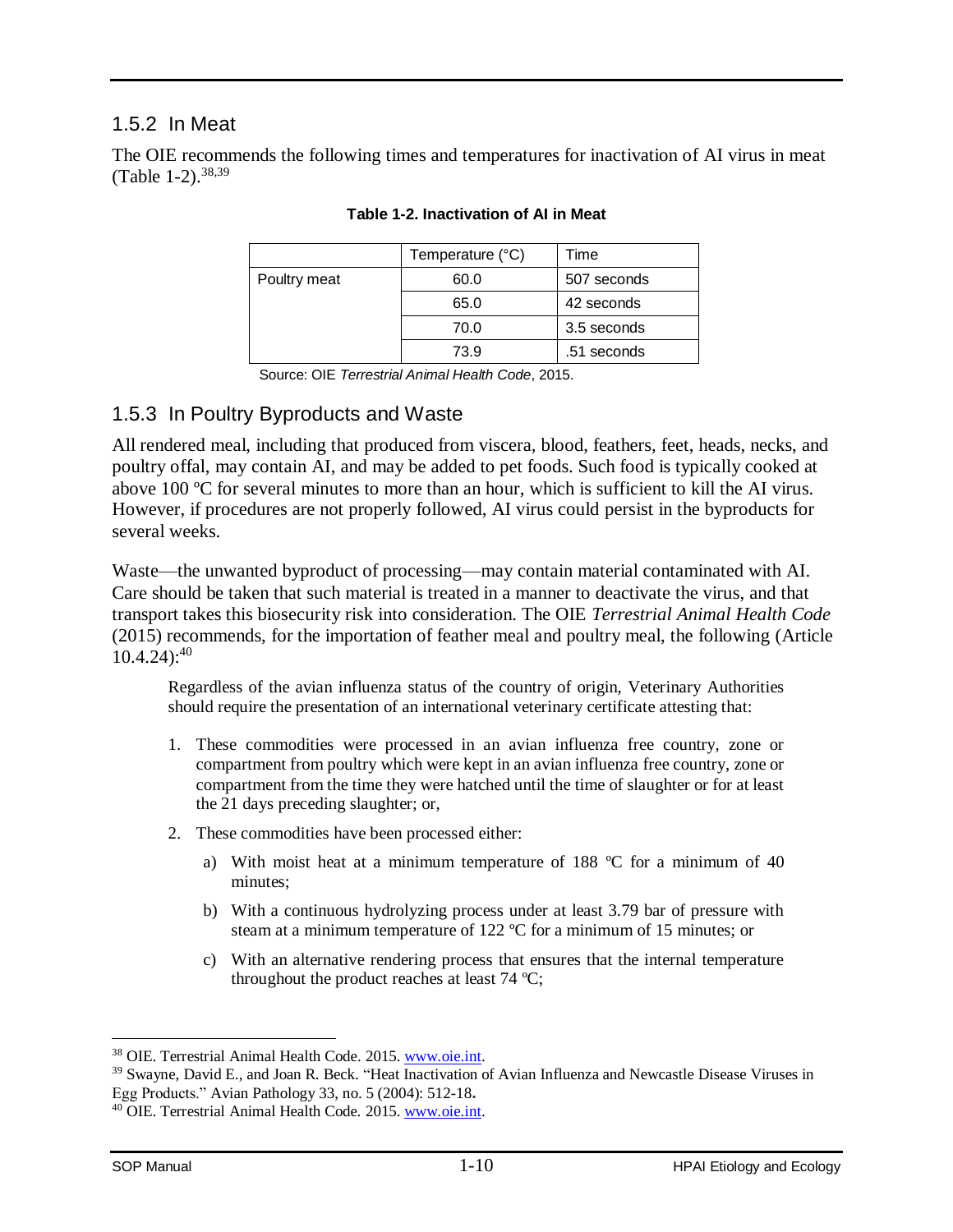### <span id="page-12-0"></span>1.5.2 In Meat

<span id="page-12-2"></span>The OIE recommends the following times and temperatures for inactivation of AI virus in meat [\(Table 1-2\)](#page-12-2).  $38,39$ 

|              | Temperature (°C) | Time        |
|--------------|------------------|-------------|
| Poultry meat | 60.0             | 507 seconds |
|              | 65.0             | 42 seconds  |
|              | 70.0             | 3.5 seconds |
|              | 73.9             | .51 seconds |

#### **Table 1-2. Inactivation of AI in Meat**

Source: OIE *Terrestrial Animal Health Code*, 2015.

### <span id="page-12-1"></span>1.5.3 In Poultry Byproducts and Waste

All rendered meal, including that produced from viscera, blood, feathers, feet, heads, necks, and poultry offal, may contain AI, and may be added to pet foods. Such food is typically cooked at above 100 ºC for several minutes to more than an hour, which is sufficient to kill the AI virus. However, if procedures are not properly followed, AI virus could persist in the byproducts for several weeks.

Waste—the unwanted byproduct of processing—may contain material contaminated with AI. Care should be taken that such material is treated in a manner to deactivate the virus, and that transport takes this biosecurity risk into consideration. The OIE *Terrestrial Animal Health Code* (2015) recommends, for the importation of feather meal and poultry meal, the following (Article  $10.4.24$ :<sup>40</sup>

Regardless of the avian influenza status of the country of origin, Veterinary Authorities should require the presentation of an international veterinary certificate attesting that:

- 1. These commodities were processed in an avian influenza free country, zone or compartment from poultry which were kept in an avian influenza free country, zone or compartment from the time they were hatched until the time of slaughter or for at least the 21 days preceding slaughter; or,
- 2. These commodities have been processed either:
	- a) With moist heat at a minimum temperature of 188 ºC for a minimum of 40 minutes;
	- b) With a continuous hydrolyzing process under at least 3.79 bar of pressure with steam at a minimum temperature of 122 ºC for a minimum of 15 minutes; or
	- c) With an alternative rendering process that ensures that the internal temperature throughout the product reaches at least 74 ºC;

<sup>38</sup> OIE. Terrestrial Animal Health Code. 2015[. www.oie.int.](http://www.oie.int/)

<sup>&</sup>lt;sup>39</sup> Swayne, David E., and Joan R. Beck. "Heat Inactivation of Avian Influenza and Newcastle Disease Viruses in Egg Products." Avian Pathology 33, no. 5 (2004): 512-18**.**

<sup>40</sup> OIE. Terrestrial Animal Health Code*.* 2015[. www.oie.int.](http://www.oie.int/)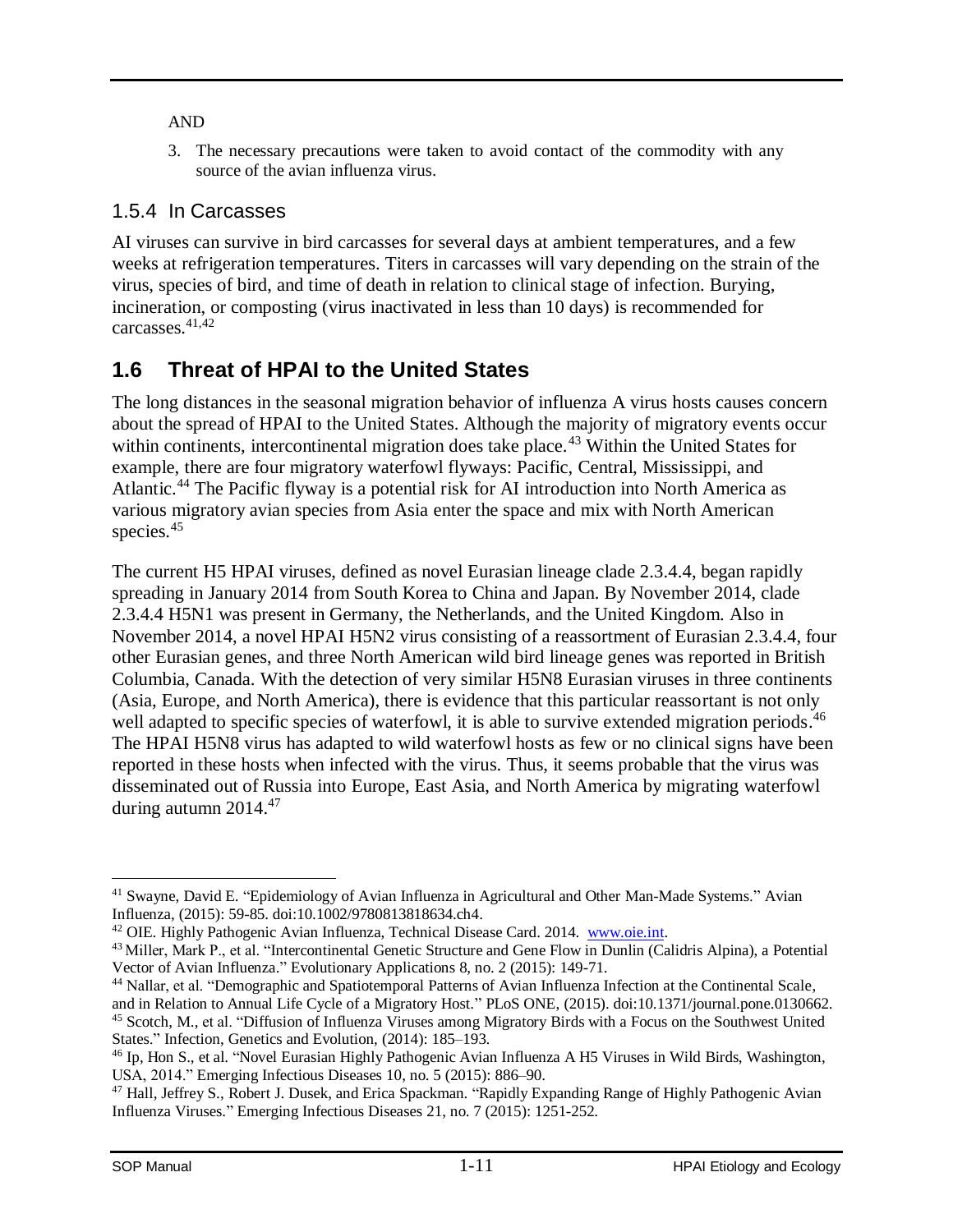### AND

3. The necessary precautions were taken to avoid contact of the commodity with any source of the avian influenza virus.

### <span id="page-13-0"></span>1.5.4 In Carcasses

AI viruses can survive in bird carcasses for several days at ambient temperatures, and a few weeks at refrigeration temperatures. Titers in carcasses will vary depending on the strain of the virus, species of bird, and time of death in relation to clinical stage of infection. Burying, incineration, or composting (virus inactivated in less than 10 days) is recommended for carcasses.41,42

## <span id="page-13-1"></span>**1.6 Threat of HPAI to the United States**

The long distances in the seasonal migration behavior of influenza A virus hosts causes concern about the spread of HPAI to the United States. Although the majority of migratory events occur within continents, intercontinental migration does take place.<sup>43</sup> Within the United States for example, there are four migratory waterfowl flyways: Pacific, Central, Mississippi, and Atlantic.<sup>44</sup> The Pacific flyway is a potential risk for AI introduction into North America as various migratory avian species from Asia enter the space and mix with North American species.<sup>45</sup>

The current H5 HPAI viruses, defined as novel Eurasian lineage clade 2.3.4.4, began rapidly spreading in January 2014 from South Korea to China and Japan. By November 2014, clade 2.3.4.4 H5N1 was present in Germany, the Netherlands, and the United Kingdom. Also in November 2014, a novel HPAI H5N2 virus consisting of a reassortment of Eurasian 2.3.4.4, four other Eurasian genes, and three North American wild bird lineage genes was reported in British Columbia, Canada. With the detection of very similar H5N8 Eurasian viruses in three continents (Asia, Europe, and North America), there is evidence that this particular reassortant is not only well adapted to specific species of waterfowl, it is able to survive extended migration periods.<sup>46</sup> The HPAI H5N8 virus has adapted to wild waterfowl hosts as few or no clinical signs have been reported in these hosts when infected with the virus. Thus, it seems probable that the virus was disseminated out of Russia into Europe, East Asia, and North America by migrating waterfowl during autumn 2014.<sup>47</sup>

 $\overline{a}$ <sup>41</sup> Swayne, David E. "Epidemiology of Avian Influenza in Agricultural and Other Man-Made Systems." Avian Influenza, (2015): 59-85. doi:10.1002/9780813818634.ch4.

<sup>42</sup> OIE. Highly Pathogenic Avian Influenza, Technical Disease Card. 2014. [www.oie.int.](http://www.oie.int/)

<sup>&</sup>lt;sup>43</sup> Miller, Mark P., et al. "Intercontinental Genetic Structure and Gene Flow in Dunlin (Calidris Alpina), a Potential Vector of Avian Influenza." Evolutionary Applications 8, no. 2 (2015): 149-71.

<sup>44</sup> Nallar, et al. "Demographic and Spatiotemporal Patterns of Avian Influenza Infection at the Continental Scale, and in Relation to Annual Life Cycle of a Migratory Host." PLoS ONE, (2015). doi:10.1371/journal.pone.0130662. <sup>45</sup> Scotch, M., et al. "Diffusion of Influenza Viruses among Migratory Birds with a Focus on the Southwest United States." Infection, Genetics and Evolution, (2014): 185–193.

<sup>46</sup> Ip, Hon S., et al. "Novel Eurasian Highly Pathogenic Avian Influenza A H5 Viruses in Wild Birds, Washington, USA, 2014." Emerging Infectious Diseases 10, no. 5 (2015): 886–90.

<sup>47</sup> Hall, Jeffrey S., Robert J. Dusek, and Erica Spackman. "Rapidly Expanding Range of Highly Pathogenic Avian Influenza Viruses." Emerging Infectious Diseases 21, no. 7 (2015): 1251-252.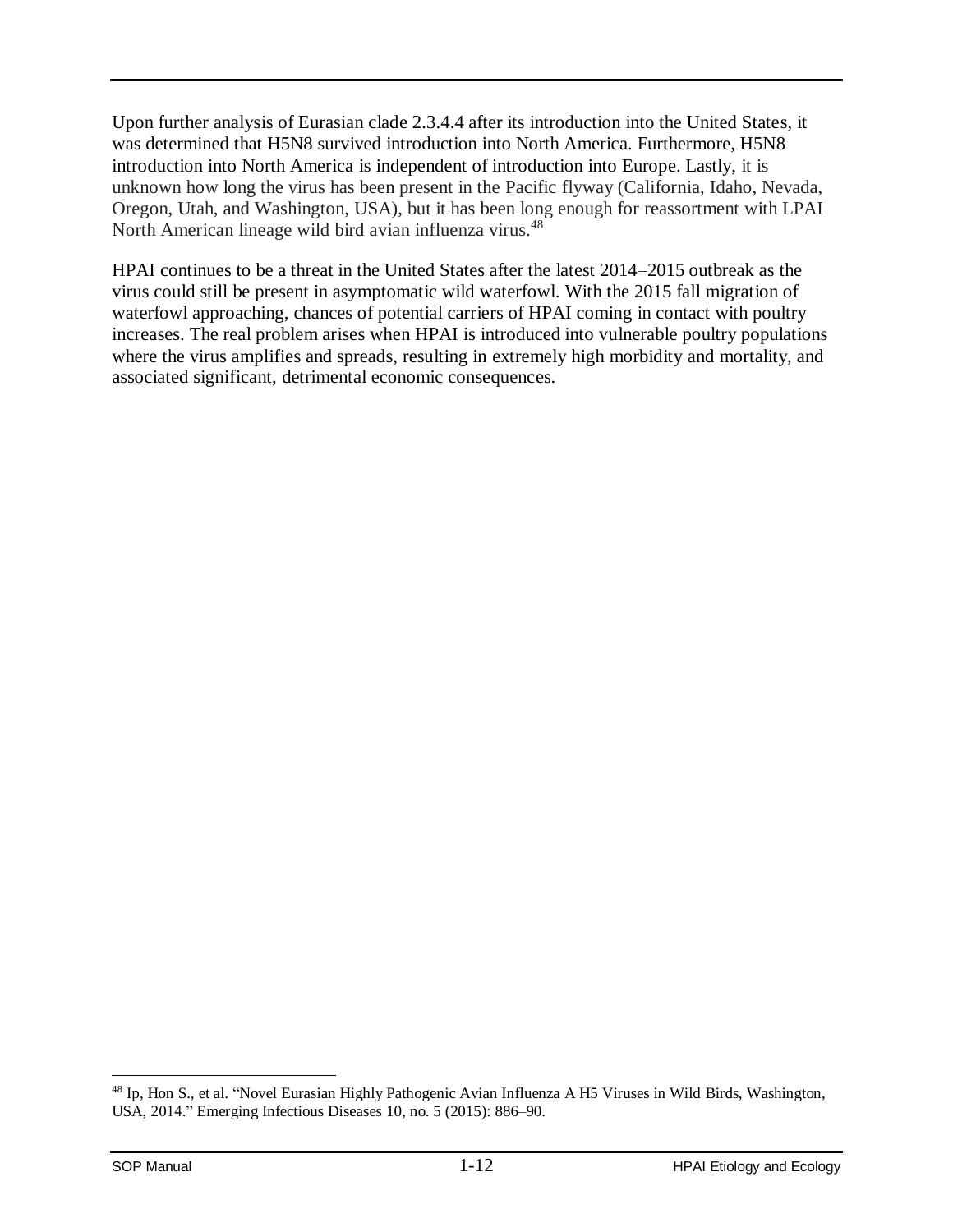Upon further analysis of Eurasian clade 2.3.4.4 after its introduction into the United States, it was determined that H5N8 survived introduction into North America. Furthermore, H5N8 introduction into North America is independent of introduction into Europe. Lastly, it is unknown how long the virus has been present in the Pacific flyway (California, Idaho, Nevada, Oregon, Utah, and Washington, USA), but it has been long enough for reassortment with LPAI North American lineage wild bird avian influenza virus.<sup>48</sup>

HPAI continues to be a threat in the United States after the latest 2014–2015 outbreak as the virus could still be present in asymptomatic wild waterfowl. With the 2015 fall migration of waterfowl approaching, chances of potential carriers of HPAI coming in contact with poultry increases. The real problem arises when HPAI is introduced into vulnerable poultry populations where the virus amplifies and spreads, resulting in extremely high morbidity and mortality, and associated significant, detrimental economic consequences.

 $\overline{a}$ <sup>48</sup> Ip, Hon S., et al. "Novel Eurasian Highly Pathogenic Avian Influenza A H5 Viruses in Wild Birds, Washington, USA, 2014." Emerging Infectious Diseases 10, no. 5 (2015): 886–90.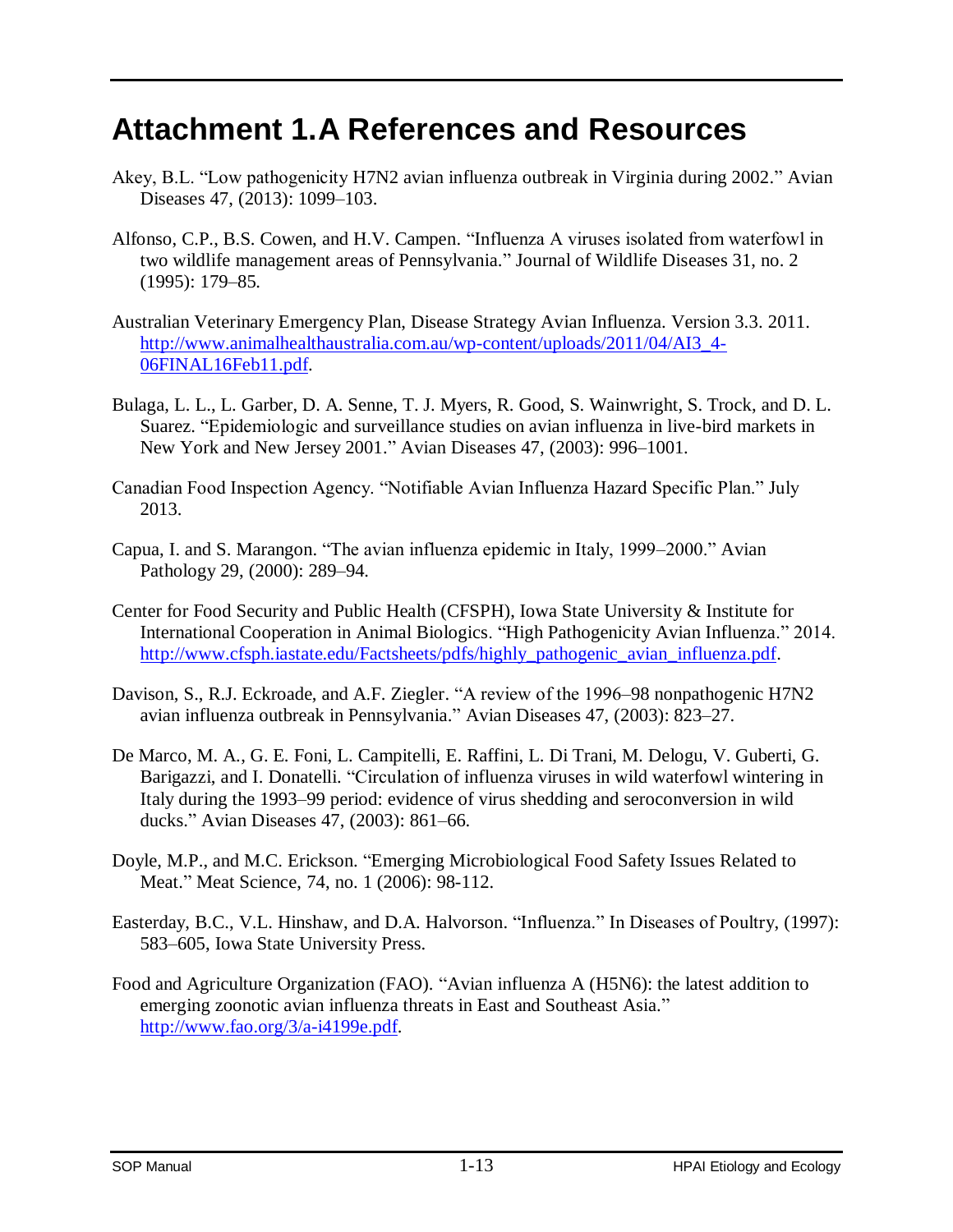# <span id="page-15-0"></span>**Attachment 1.A References and Resources**

- Akey, B.L. "Low pathogenicity H7N2 avian influenza outbreak in Virginia during 2002." Avian Diseases 47, (2013): 1099–103.
- Alfonso, C.P., B.S. Cowen, and H.V. Campen. "Influenza A viruses isolated from waterfowl in two wildlife management areas of Pennsylvania." Journal of Wildlife Diseases 31, no. 2 (1995): 179–85.
- Australian Veterinary Emergency Plan, Disease Strategy Avian Influenza. Version 3.3. 2011. [http://www.animalhealthaustralia.com.au/wp-content/uploads/2011/04/AI3\\_4-](http://www.animalhealthaustralia.com.au/wp-content/uploads/2011/04/AI3_4-06FINAL16Feb11.pdf) [06FINAL16Feb11.pdf.](http://www.animalhealthaustralia.com.au/wp-content/uploads/2011/04/AI3_4-06FINAL16Feb11.pdf)
- Bulaga, L. L., L. Garber, D. A. Senne, T. J. Myers, R. Good, S. Wainwright, S. Trock, and D. L. Suarez. "Epidemiologic and surveillance studies on avian influenza in live-bird markets in New York and New Jersey 2001." Avian Diseases 47, (2003): 996–1001.
- Canadian Food Inspection Agency. "Notifiable Avian Influenza Hazard Specific Plan." July 2013.
- Capua, I. and S. Marangon. "The avian influenza epidemic in Italy, 1999–2000." Avian Pathology 29, (2000): 289–94.
- Center for Food Security and Public Health (CFSPH), Iowa State University & Institute for International Cooperation in Animal Biologics. "High Pathogenicity Avian Influenza." 2014. [http://www.cfsph.iastate.edu/Factsheets/pdfs/highly\\_pathogenic\\_avian\\_influenza.pdf.](http://www.cfsph.iastate.edu/Factsheets/pdfs/highly_pathogenic_avian_influenza.pdf)
- Davison, S., R.J. Eckroade, and A.F. Ziegler. "A review of the 1996–98 nonpathogenic H7N2 avian influenza outbreak in Pennsylvania." Avian Diseases 47, (2003): 823–27.
- De Marco, M. A., G. E. Foni, L. Campitelli, E. Raffini, L. Di Trani, M. Delogu, V. Guberti, G. Barigazzi, and I. Donatelli. "Circulation of influenza viruses in wild waterfowl wintering in Italy during the 1993–99 period: evidence of virus shedding and seroconversion in wild ducks." Avian Diseases 47, (2003): 861–66.
- Doyle, M.P., and M.C. Erickson. "Emerging Microbiological Food Safety Issues Related to Meat." Meat Science, 74, no. 1 (2006): 98-112.
- Easterday, B.C., V.L. Hinshaw, and D.A. Halvorson. "Influenza." In Diseases of Poultry, (1997): 583–605, Iowa State University Press.
- Food and Agriculture Organization (FAO). "Avian influenza A (H5N6): the latest addition to emerging zoonotic avian influenza threats in East and Southeast Asia." [http://www.fao.org/3/a-i4199e.pdf.](http://www.fao.org/3/a-i4199e.pdf)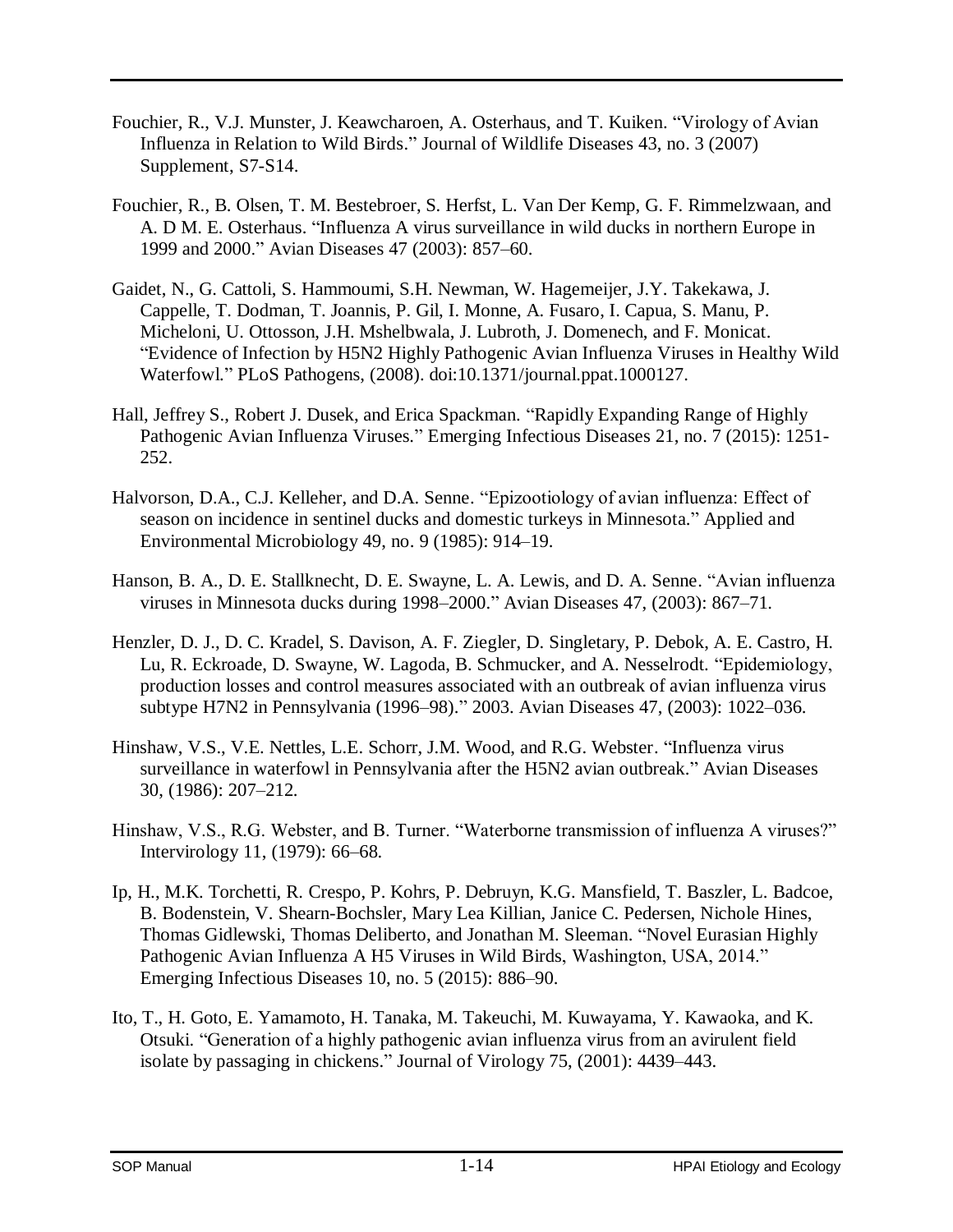- Fouchier, R., V.J. Munster, J. Keawcharoen, A. Osterhaus, and T. Kuiken. "Virology of Avian Influenza in Relation to Wild Birds." Journal of Wildlife Diseases 43, no. 3 (2007) Supplement, S7-S14.
- Fouchier, R., B. Olsen, T. M. Bestebroer, S. Herfst, L. Van Der Kemp, G. F. Rimmelzwaan, and A. D M. E. Osterhaus. "Influenza A virus surveillance in wild ducks in northern Europe in 1999 and 2000." Avian Diseases 47 (2003): 857–60.
- Gaidet, N., G. Cattoli, S. Hammoumi, S.H. Newman, W. Hagemeijer, J.Y. Takekawa, J. Cappelle, T. Dodman, T. Joannis, P. Gil, I. Monne, A. Fusaro, I. Capua, S. Manu, P. Micheloni, U. Ottosson, J.H. Mshelbwala, J. Lubroth, J. Domenech, and F. Monicat. "Evidence of Infection by H5N2 Highly Pathogenic Avian Influenza Viruses in Healthy Wild Waterfowl." PLoS Pathogens, (2008). doi:10.1371/journal.ppat.1000127.
- Hall, Jeffrey S., Robert J. Dusek, and Erica Spackman. "Rapidly Expanding Range of Highly Pathogenic Avian Influenza Viruses." Emerging Infectious Diseases 21, no. 7 (2015): 1251- 252.
- Halvorson, D.A., C.J. Kelleher, and D.A. Senne. "Epizootiology of avian influenza: Effect of season on incidence in sentinel ducks and domestic turkeys in Minnesota." Applied and Environmental Microbiology 49, no. 9 (1985): 914–19.
- Hanson, B. A., D. E. Stallknecht, D. E. Swayne, L. A. Lewis, and D. A. Senne. "Avian influenza viruses in Minnesota ducks during 1998–2000." Avian Diseases 47, (2003): 867–71.
- Henzler, D. J., D. C. Kradel, S. Davison, A. F. Ziegler, D. Singletary, P. Debok, A. E. Castro, H. Lu, R. Eckroade, D. Swayne, W. Lagoda, B. Schmucker, and A. Nesselrodt. "Epidemiology, production losses and control measures associated with an outbreak of avian influenza virus subtype H7N2 in Pennsylvania (1996–98)." 2003. Avian Diseases 47, (2003): 1022–036.
- Hinshaw, V.S., V.E. Nettles, L.E. Schorr, J.M. Wood, and R.G. Webster. "Influenza virus surveillance in waterfowl in Pennsylvania after the H5N2 avian outbreak." Avian Diseases 30, (1986): 207–212.
- Hinshaw, V.S., R.G. Webster, and B. Turner. "Waterborne transmission of influenza A viruses?" Intervirology 11, (1979): 66–68.
- Ip, H., M.K. Torchetti, R. Crespo, P. Kohrs, P. Debruyn, K.G. Mansfield, T. Baszler, L. Badcoe, B. Bodenstein, V. Shearn-Bochsler, Mary Lea Killian, Janice C. Pedersen, Nichole Hines, Thomas Gidlewski, Thomas Deliberto, and Jonathan M. Sleeman. "Novel Eurasian Highly Pathogenic Avian Influenza A H5 Viruses in Wild Birds, Washington, USA, 2014." Emerging Infectious Diseases 10, no. 5 (2015): 886–90.
- Ito, T., H. Goto, E. Yamamoto, H. Tanaka, M. Takeuchi, M. Kuwayama, Y. Kawaoka, and K. Otsuki. "Generation of a highly pathogenic avian influenza virus from an avirulent field isolate by passaging in chickens." Journal of Virology 75, (2001): 4439–443.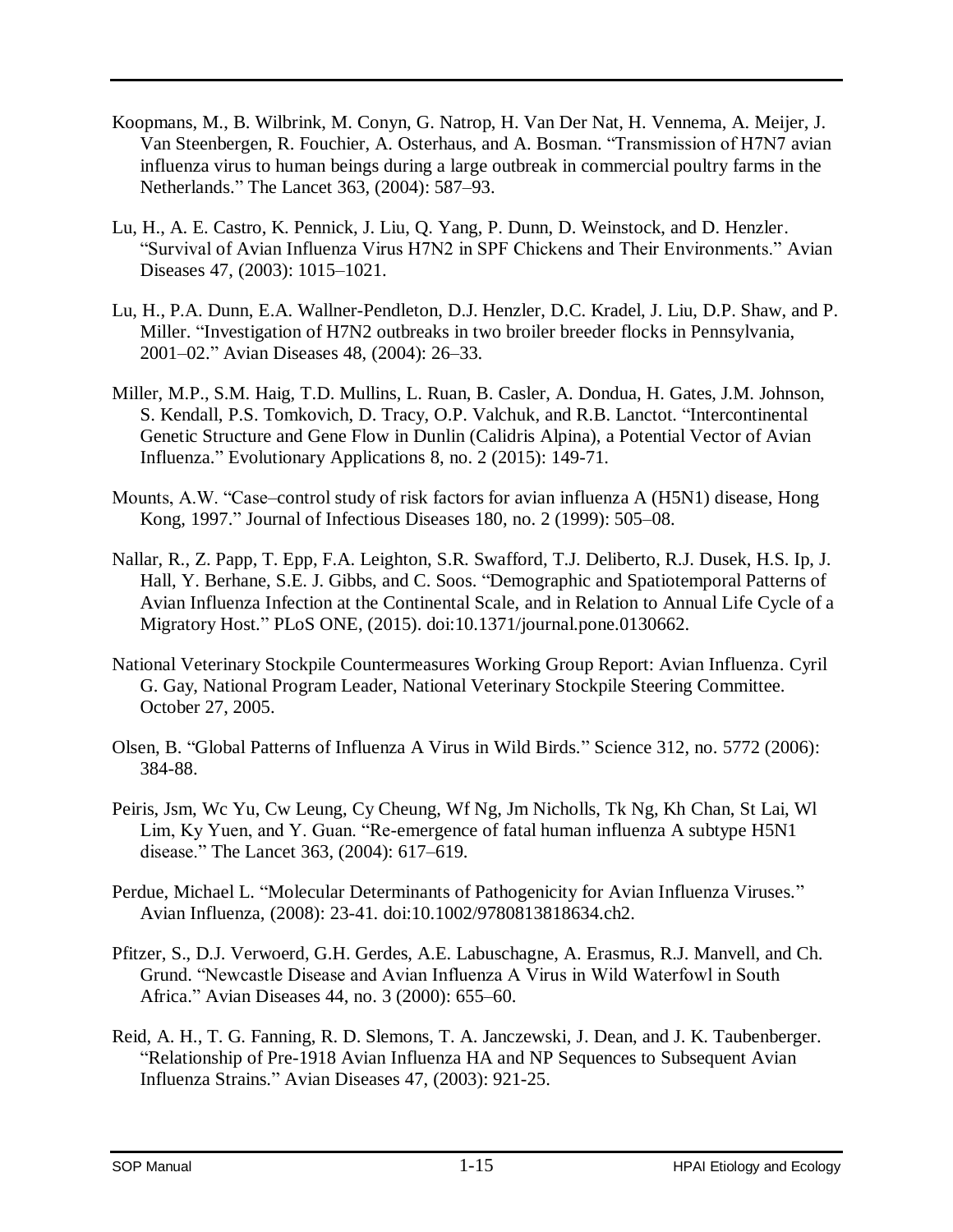- Koopmans, M., B. Wilbrink, M. Conyn, G. Natrop, H. Van Der Nat, H. Vennema, A. Meijer, J. Van Steenbergen, R. Fouchier, A. Osterhaus, and A. Bosman. "Transmission of H7N7 avian influenza virus to human beings during a large outbreak in commercial poultry farms in the Netherlands." The Lancet 363, (2004): 587–93.
- Lu, H., A. E. Castro, K. Pennick, J. Liu, Q. Yang, P. Dunn, D. Weinstock, and D. Henzler. "Survival of Avian Influenza Virus H7N2 in SPF Chickens and Their Environments." Avian Diseases 47, (2003): 1015–1021.
- Lu, H., P.A. Dunn, E.A. Wallner-Pendleton, D.J. Henzler, D.C. Kradel, J. Liu, D.P. Shaw, and P. Miller. "Investigation of H7N2 outbreaks in two broiler breeder flocks in Pennsylvania, 2001–02." Avian Diseases 48, (2004): 26–33.
- Miller, M.P., S.M. Haig, T.D. Mullins, L. Ruan, B. Casler, A. Dondua, H. Gates, J.M. Johnson, S. Kendall, P.S. Tomkovich, D. Tracy, O.P. Valchuk, and R.B. Lanctot. "Intercontinental Genetic Structure and Gene Flow in Dunlin (Calidris Alpina), a Potential Vector of Avian Influenza." Evolutionary Applications 8, no. 2 (2015): 149-71.
- Mounts, A.W. "Case–control study of risk factors for avian influenza A (H5N1) disease, Hong Kong, 1997." Journal of Infectious Diseases 180, no. 2 (1999): 505–08.
- Nallar, R., Z. Papp, T. Epp, F.A. Leighton, S.R. Swafford, T.J. Deliberto, R.J. Dusek, H.S. Ip, J. Hall, Y. Berhane, S.E. J. Gibbs, and C. Soos. "Demographic and Spatiotemporal Patterns of Avian Influenza Infection at the Continental Scale, and in Relation to Annual Life Cycle of a Migratory Host." PLoS ONE, (2015). doi:10.1371/journal.pone.0130662.
- National Veterinary Stockpile Countermeasures Working Group Report: Avian Influenza. Cyril G. Gay, National Program Leader, National Veterinary Stockpile Steering Committee. October 27, 2005.
- Olsen, B. "Global Patterns of Influenza A Virus in Wild Birds." Science 312, no. 5772 (2006): 384-88.
- Peiris, Jsm, Wc Yu, Cw Leung, Cy Cheung, Wf Ng, Jm Nicholls, Tk Ng, Kh Chan, St Lai, Wl Lim, Ky Yuen, and Y. Guan. "Re-emergence of fatal human influenza A subtype H5N1 disease." The Lancet 363, (2004): 617–619.
- Perdue, Michael L. "Molecular Determinants of Pathogenicity for Avian Influenza Viruses." Avian Influenza, (2008): 23-41. doi:10.1002/9780813818634.ch2.
- Pfitzer, S., D.J. Verwoerd, G.H. Gerdes, A.E. Labuschagne, A. Erasmus, R.J. Manvell, and Ch. Grund. "Newcastle Disease and Avian Influenza A Virus in Wild Waterfowl in South Africa." Avian Diseases 44, no. 3 (2000): 655–60.
- Reid, A. H., T. G. Fanning, R. D. Slemons, T. A. Janczewski, J. Dean, and J. K. Taubenberger. "Relationship of Pre-1918 Avian Influenza HA and NP Sequences to Subsequent Avian Influenza Strains." Avian Diseases 47, (2003): 921-25.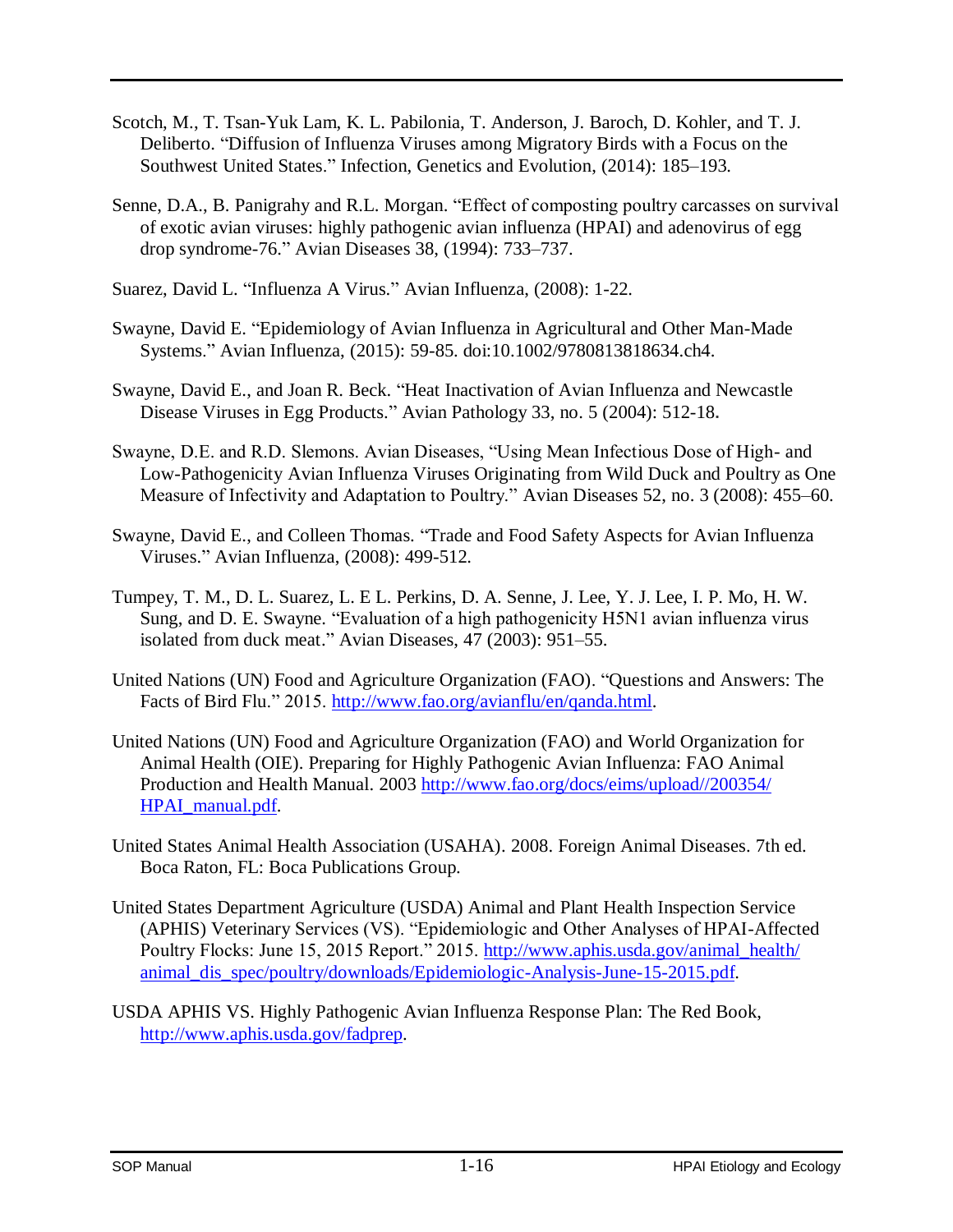- Scotch, M., T. Tsan-Yuk Lam, K. L. Pabilonia, T. Anderson, J. Baroch, D. Kohler, and T. J. Deliberto. "Diffusion of Influenza Viruses among Migratory Birds with a Focus on the Southwest United States." Infection, Genetics and Evolution, (2014): 185–193.
- Senne, D.A., B. Panigrahy and R.L. Morgan. "Effect of composting poultry carcasses on survival of exotic avian viruses: highly pathogenic avian influenza (HPAI) and adenovirus of egg drop syndrome-76." Avian Diseases 38, (1994): 733–737.
- Suarez, David L. "Influenza A Virus." Avian Influenza, (2008): 1-22.
- Swayne, David E. "Epidemiology of Avian Influenza in Agricultural and Other Man-Made Systems." Avian Influenza, (2015): 59-85. doi:10.1002/9780813818634.ch4.
- Swayne, David E., and Joan R. Beck. "Heat Inactivation of Avian Influenza and Newcastle Disease Viruses in Egg Products." Avian Pathology 33, no. 5 (2004): 512-18**.**
- Swayne, D.E. and R.D. Slemons. Avian Diseases, "Using Mean Infectious Dose of High- and Low-Pathogenicity Avian Influenza Viruses Originating from Wild Duck and Poultry as One Measure of Infectivity and Adaptation to Poultry." Avian Diseases 52, no. 3 (2008): 455–60.
- Swayne, David E., and Colleen Thomas. "Trade and Food Safety Aspects for Avian Influenza Viruses." Avian Influenza, (2008): 499-512.
- Tumpey, T. M., D. L. Suarez, L. E L. Perkins, D. A. Senne, J. Lee, Y. J. Lee, I. P. Mo, H. W. Sung, and D. E. Swayne. "Evaluation of a high pathogenicity H5N1 avian influenza virus isolated from duck meat." Avian Diseases, 47 (2003): 951–55.
- United Nations (UN) Food and Agriculture Organization (FAO). "Questions and Answers: The Facts of Bird Flu." 2015. [http://www.fao.org/avianflu/en/qanda.html.](http://www.fao.org/avianflu/en/qanda.html)
- United Nations (UN) Food and Agriculture Organization (FAO) and World Organization for Animal Health (OIE). Preparing for Highly Pathogenic Avian Influenza: FAO Animal Production and Health Manual. 2003 [http://www.fao.org/docs/eims/upload//200354/](http://www.fao.org/docs/eims/upload/200354/HPAI_manual.pdf)  [HPAI\\_manual.pdf.](http://www.fao.org/docs/eims/upload/200354/HPAI_manual.pdf)
- United States Animal Health Association (USAHA). 2008. Foreign Animal Diseases. 7th ed. Boca Raton, FL: Boca Publications Group.
- United States Department Agriculture (USDA) Animal and Plant Health Inspection Service (APHIS) Veterinary Services (VS). "Epidemiologic and Other Analyses of HPAI-Affected Poultry Flocks: June 15, 2015 Report." 2015. http://www.aphis.usda.gov/animal\_health/ [animal\\_dis\\_spec/poultry/downloads/Epidemiologic-Analysis-June-15-2015.pdf.](http://www.aphis.usda.gov/animal_health/animal_dis_spec/poultry/downloads/Epidemiologic-Analysis-June-15-2015.pdf)
- USDA APHIS VS. Highly Pathogenic Avian Influenza Response Plan: The Red Book, [http://www.aphis.usda.gov/fadprep.](http://www.aphis.usda.gov/fadprep)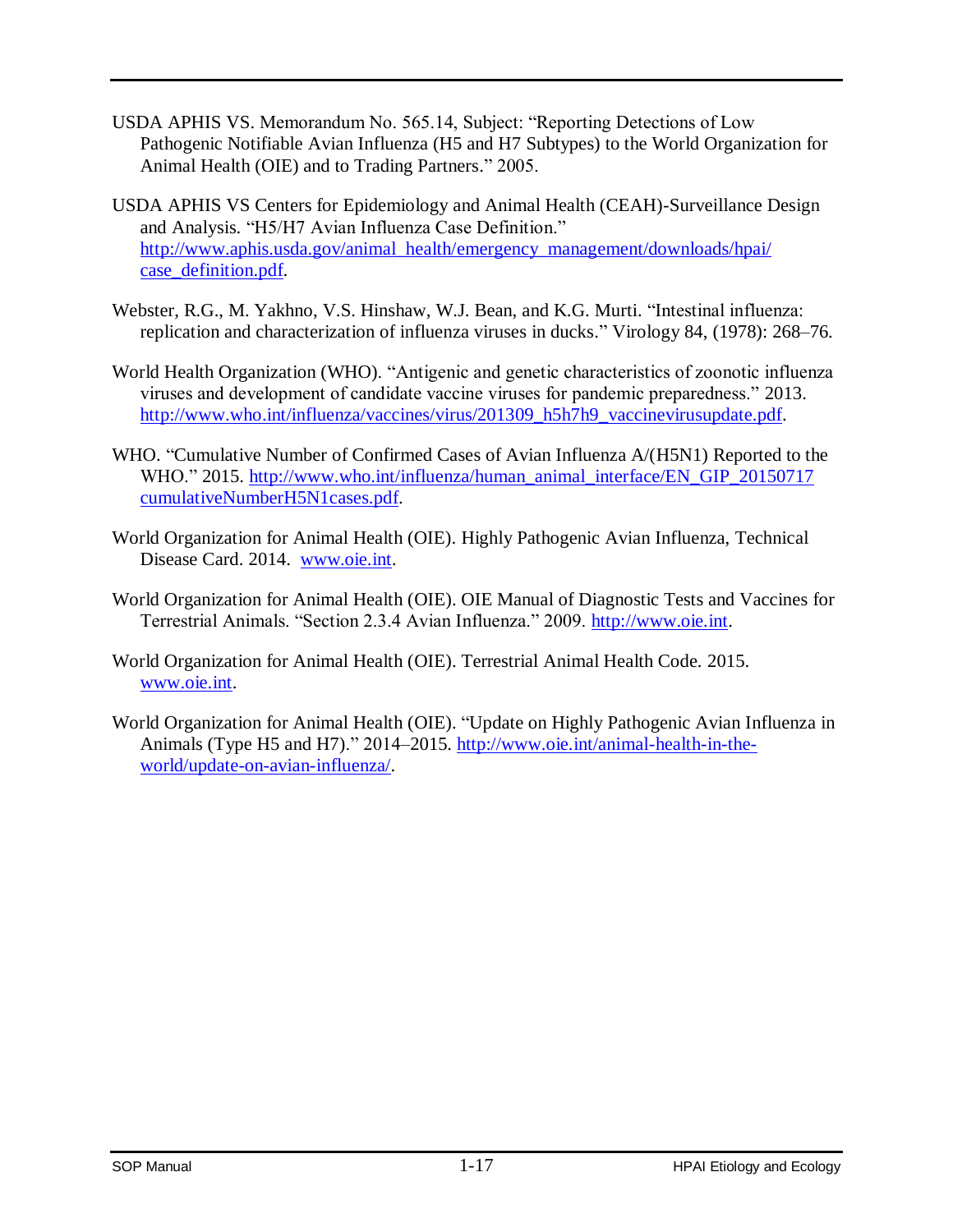- USDA APHIS VS. Memorandum No. 565.14, Subject: "Reporting Detections of Low Pathogenic Notifiable Avian Influenza (H5 and H7 Subtypes) to the World Organization for Animal Health (OIE) and to Trading Partners." 2005.
- USDA APHIS VS Centers for Epidemiology and Animal Health (CEAH)-Surveillance Design and Analysis. "H5/H7 Avian Influenza Case Definition." http://www.aphis.usda.gov/animal\_health/emergency\_management/downloads/hpai/ [case\\_definition.pdf.](http://www.aphis.usda.gov/animal_health/emergency_management/downloads/hpai/case_definition.pdf)
- Webster, R.G., M. Yakhno, V.S. Hinshaw, W.J. Bean, and K.G. Murti. "Intestinal influenza: replication and characterization of influenza viruses in ducks." Virology 84, (1978): 268–76.
- World Health Organization (WHO). "Antigenic and genetic characteristics of zoonotic influenza viruses and development of candidate vaccine viruses for pandemic preparedness." 2013. [http://www.who.int/influenza/vaccines/virus/201309\\_h5h7h9\\_vaccinevirusupdate.pdf.](http://www.who.int/influenza/vaccines/virus/201309_h5h7h9_vaccinevirusupdate.pdf)
- WHO. "Cumulative Number of Confirmed Cases of Avian Influenza A/(H5N1) Reported to the WHO." 2015. http://www.who.int/influenza/human\_animal\_interface/EN\_GIP\_20150717 [cumulativeNumberH5N1cases.pdf.](http://www.who.int/influenza/human_animal_interface/EN_GIP_20150717cumulativeNumberH5N1cases.pdf)
- World Organization for Animal Health (OIE). Highly Pathogenic Avian Influenza, Technical Disease Card. 2014. [www.oie.int.](http://www.oie.int/)
- World Organization for Animal Health (OIE). OIE Manual of Diagnostic Tests and Vaccines for Terrestrial Animals. "Section 2.3.4 Avian Influenza." 2009. [http://www.oie.int.](http://www.oie.int/)
- World Organization for Animal Health (OIE). Terrestrial Animal Health Code*.* 2015. [www.oie.int.](http://www.oie.int/)
- World Organization for Animal Health (OIE). "Update on Highly Pathogenic Avian Influenza in Animals (Type H5 and H7)." 2014–2015. [http://www.oie.int/animal-health-in-the](http://www.oie.int/animal-health-in-the-world/update-on-avian-influenza/)[world/update-on-avian-influenza/.](http://www.oie.int/animal-health-in-the-world/update-on-avian-influenza/)